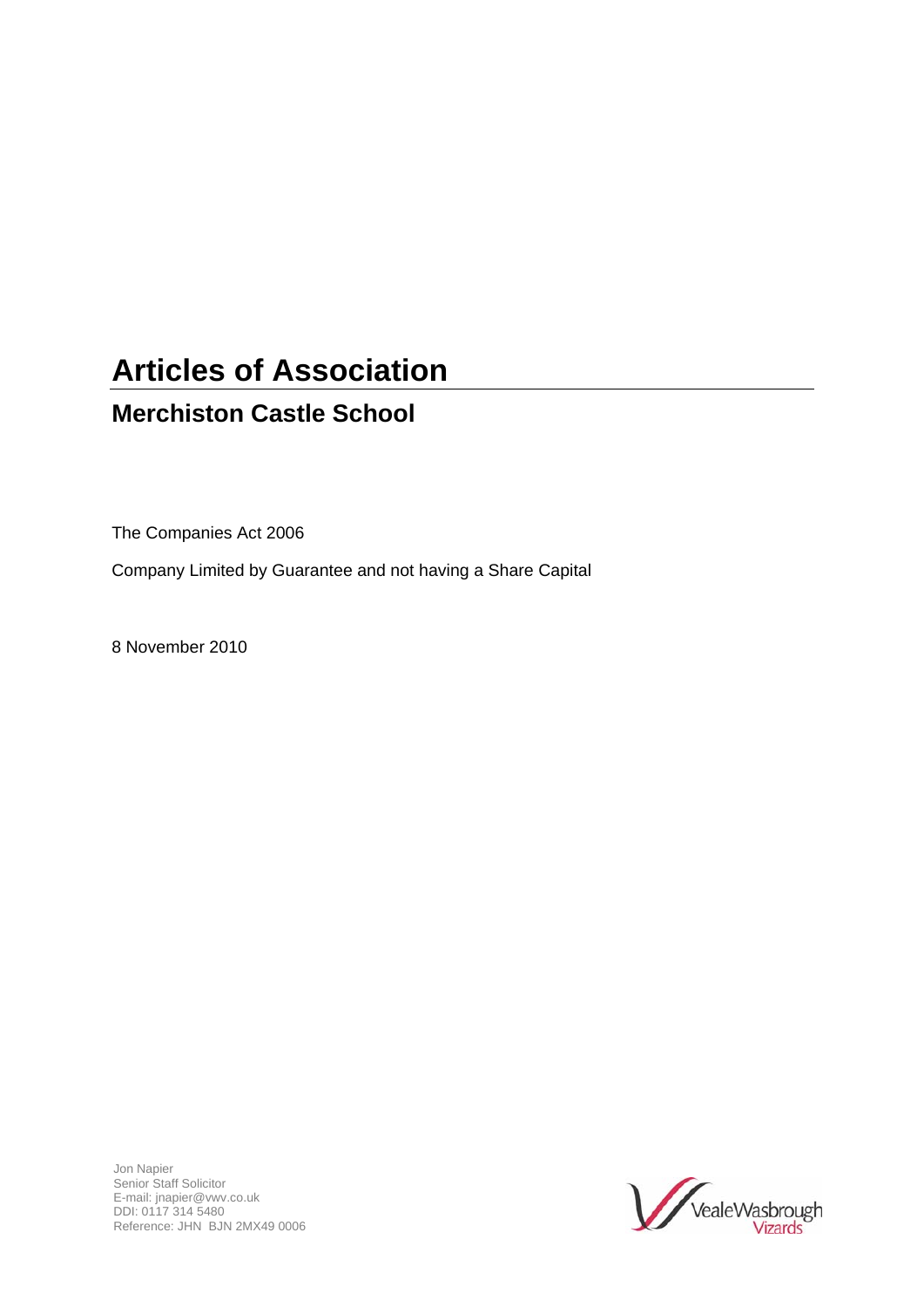# **Articles of Association**

## **Merchiston Castle School**

The Companies Act 2006

Company Limited by Guarantee and not having a Share Capital

8 November 2010

Jon Napier Senior Staff Solicitor E-mail: jnapier@vwv.co.uk DDI: 0117 314 5480 Reference: JHN BJN 2MX49 0006

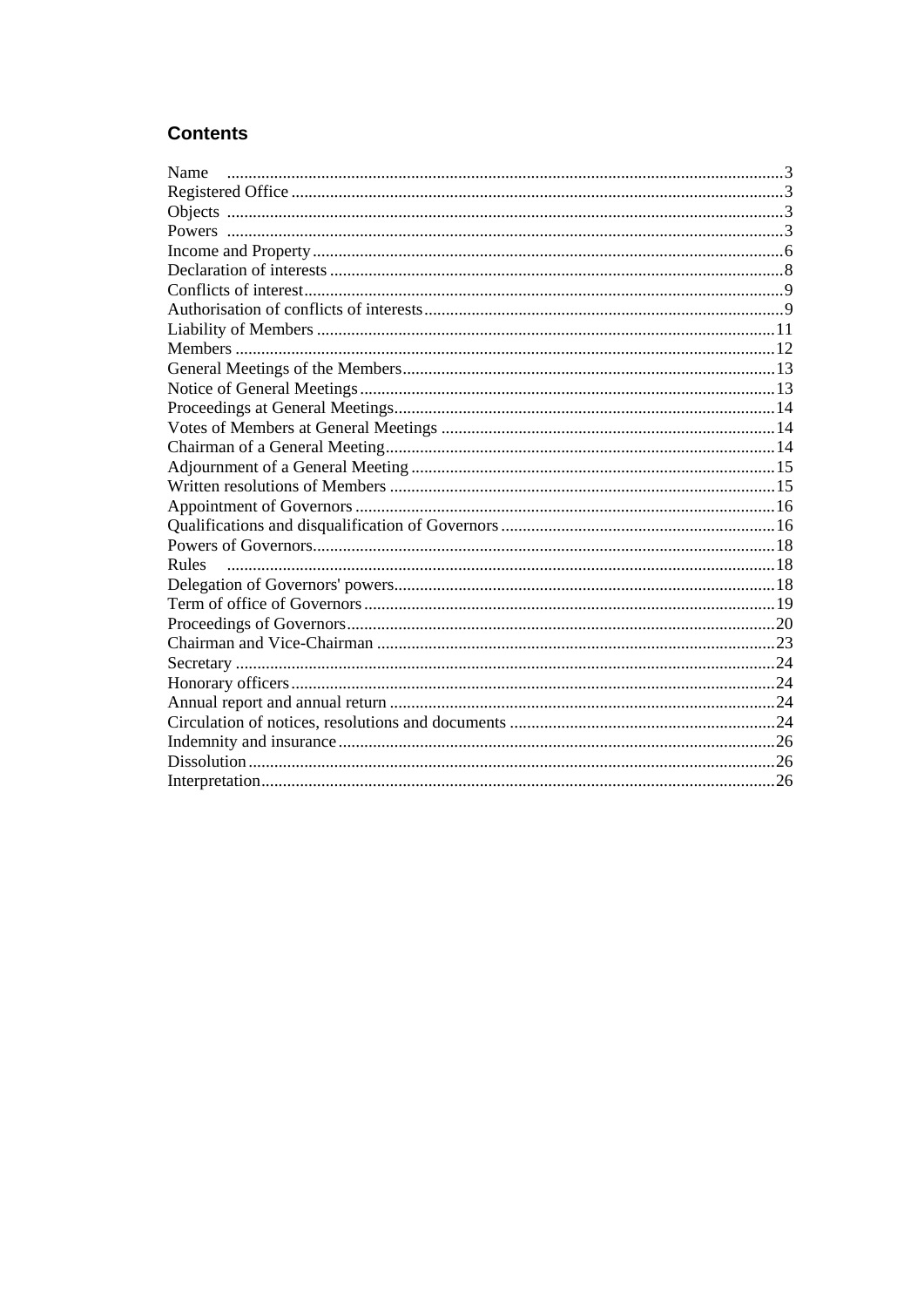#### **Contents**

| Name  |  |
|-------|--|
|       |  |
|       |  |
|       |  |
|       |  |
|       |  |
|       |  |
|       |  |
|       |  |
|       |  |
|       |  |
|       |  |
|       |  |
|       |  |
|       |  |
|       |  |
|       |  |
|       |  |
|       |  |
|       |  |
| Rules |  |
|       |  |
|       |  |
|       |  |
|       |  |
|       |  |
|       |  |
|       |  |
|       |  |
|       |  |
|       |  |
|       |  |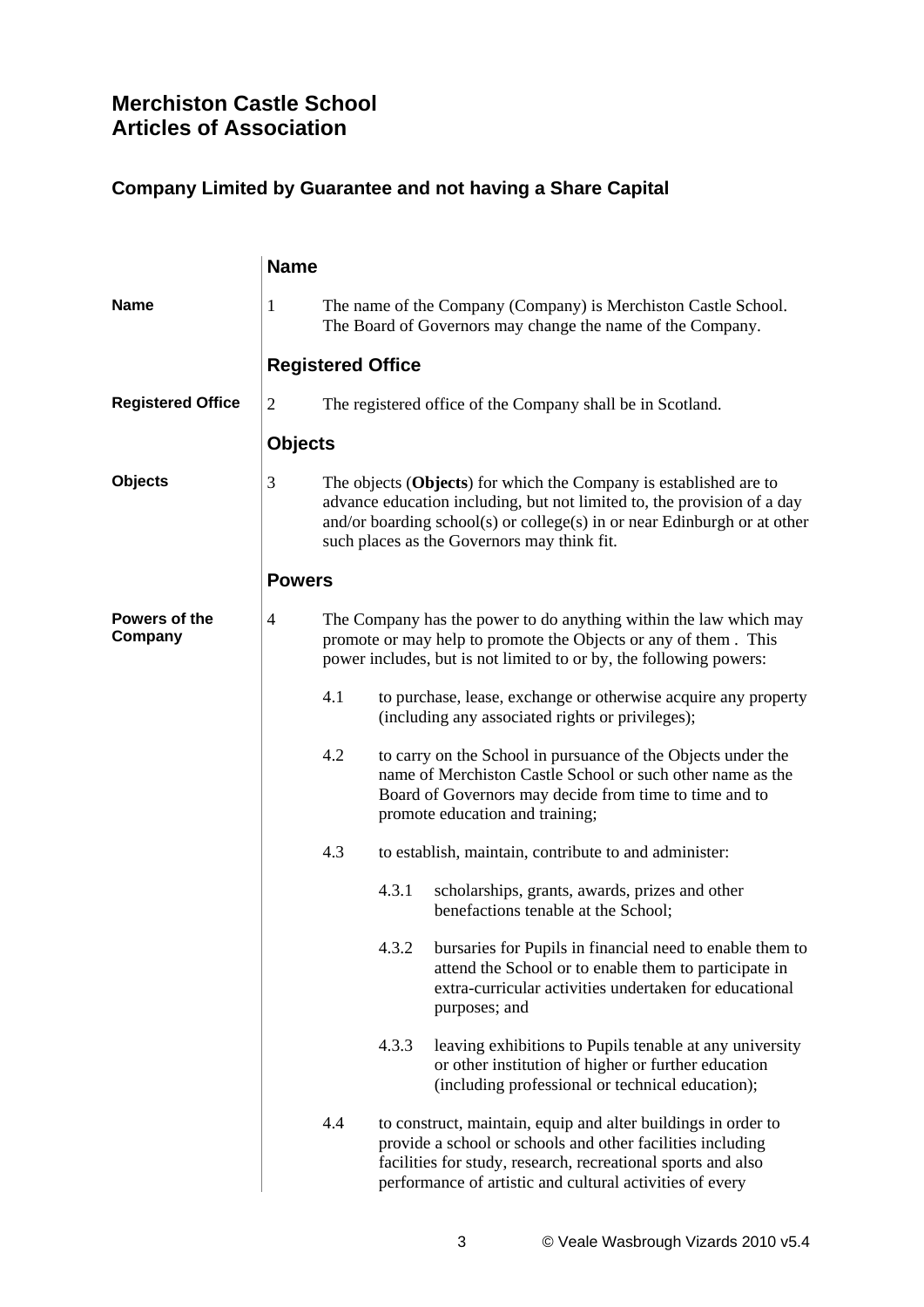### **Merchiston Castle School Articles of Association**

#### **Company Limited by Guarantee and not having a Share Capital**

|                          | <b>Name</b>    |                                                                                                                                                                                                                                |                                                                                                                                                                                                            |                                                                                                                                                                                                                                                                         |  |  |  |
|--------------------------|----------------|--------------------------------------------------------------------------------------------------------------------------------------------------------------------------------------------------------------------------------|------------------------------------------------------------------------------------------------------------------------------------------------------------------------------------------------------------|-------------------------------------------------------------------------------------------------------------------------------------------------------------------------------------------------------------------------------------------------------------------------|--|--|--|
| <b>Name</b>              | 1              | The name of the Company (Company) is Merchiston Castle School.<br>The Board of Governors may change the name of the Company.                                                                                                   |                                                                                                                                                                                                            |                                                                                                                                                                                                                                                                         |  |  |  |
|                          |                | <b>Registered Office</b>                                                                                                                                                                                                       |                                                                                                                                                                                                            |                                                                                                                                                                                                                                                                         |  |  |  |
| <b>Registered Office</b> | $\overline{c}$ |                                                                                                                                                                                                                                |                                                                                                                                                                                                            | The registered office of the Company shall be in Scotland.                                                                                                                                                                                                              |  |  |  |
|                          | <b>Objects</b> |                                                                                                                                                                                                                                |                                                                                                                                                                                                            |                                                                                                                                                                                                                                                                         |  |  |  |
| <b>Objects</b>           | 3              |                                                                                                                                                                                                                                |                                                                                                                                                                                                            | The objects (Objects) for which the Company is established are to<br>advance education including, but not limited to, the provision of a day<br>and/or boarding school(s) or college(s) in or near Edinburgh or at other<br>such places as the Governors may think fit. |  |  |  |
|                          | <b>Powers</b>  |                                                                                                                                                                                                                                |                                                                                                                                                                                                            |                                                                                                                                                                                                                                                                         |  |  |  |
| Powers of the<br>Company | 4              |                                                                                                                                                                                                                                | The Company has the power to do anything within the law which may<br>promote or may help to promote the Objects or any of them. This<br>power includes, but is not limited to or by, the following powers: |                                                                                                                                                                                                                                                                         |  |  |  |
|                          | 4.1            |                                                                                                                                                                                                                                |                                                                                                                                                                                                            | to purchase, lease, exchange or otherwise acquire any property<br>(including any associated rights or privileges);                                                                                                                                                      |  |  |  |
|                          |                | 4.2<br>to carry on the School in pursuance of the Objects under the<br>name of Merchiston Castle School or such other name as the<br>Board of Governors may decide from time to time and to<br>promote education and training; |                                                                                                                                                                                                            |                                                                                                                                                                                                                                                                         |  |  |  |
|                          |                | 4.3                                                                                                                                                                                                                            |                                                                                                                                                                                                            | to establish, maintain, contribute to and administer:                                                                                                                                                                                                                   |  |  |  |
|                          |                |                                                                                                                                                                                                                                | 4.3.1                                                                                                                                                                                                      | scholarships, grants, awards, prizes and other<br>benefactions tenable at the School;                                                                                                                                                                                   |  |  |  |
|                          |                |                                                                                                                                                                                                                                |                                                                                                                                                                                                            | 4.3.2 bursaries for Pupils in financial need to enable them to<br>attend the School or to enable them to participate in<br>extra-curricular activities undertaken for educational<br>purposes; and                                                                      |  |  |  |
|                          |                |                                                                                                                                                                                                                                | 4.3.3                                                                                                                                                                                                      | leaving exhibitions to Pupils tenable at any university<br>or other institution of higher or further education<br>(including professional or technical education);                                                                                                      |  |  |  |
|                          |                | 4.4                                                                                                                                                                                                                            |                                                                                                                                                                                                            | to construct, maintain, equip and alter buildings in order to<br>provide a school or schools and other facilities including<br>facilities for study, research, recreational sports and also<br>performance of artistic and cultural activities of every                 |  |  |  |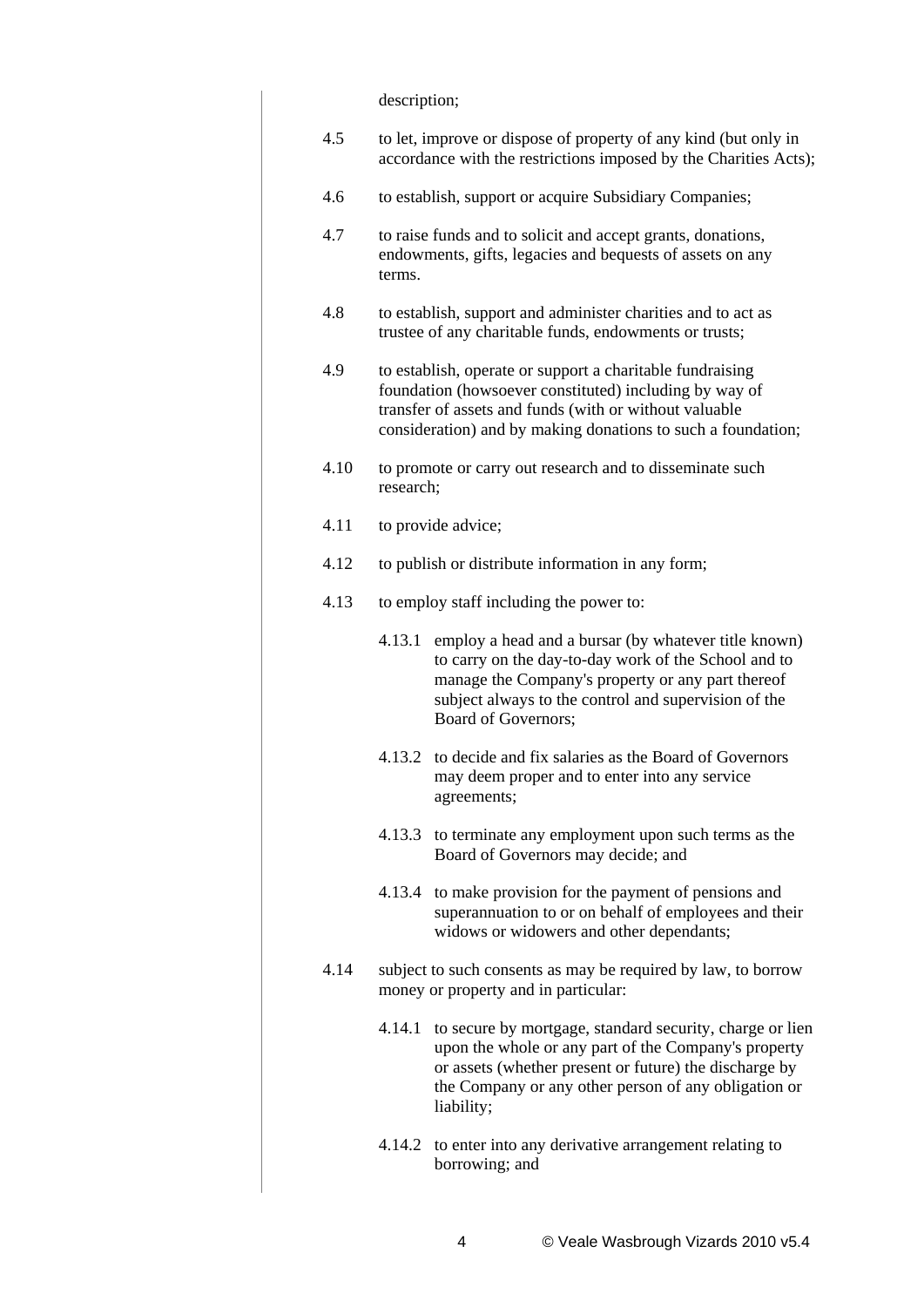description;

| 4.5  | to let, improve or dispose of property of any kind (but only in<br>accordance with the restrictions imposed by the Charities Acts); |                                                                                                                                                                                                                                                  |  |  |  |  |  |  |  |
|------|-------------------------------------------------------------------------------------------------------------------------------------|--------------------------------------------------------------------------------------------------------------------------------------------------------------------------------------------------------------------------------------------------|--|--|--|--|--|--|--|
| 4.6  | to establish, support or acquire Subsidiary Companies;                                                                              |                                                                                                                                                                                                                                                  |  |  |  |  |  |  |  |
| 4.7  | to raise funds and to solicit and accept grants, donations,<br>endowments, gifts, legacies and bequests of assets on any<br>terms.  |                                                                                                                                                                                                                                                  |  |  |  |  |  |  |  |
| 4.8  |                                                                                                                                     | to establish, support and administer charities and to act as<br>trustee of any charitable funds, endowments or trusts;                                                                                                                           |  |  |  |  |  |  |  |
| 4.9  |                                                                                                                                     | to establish, operate or support a charitable fundraising<br>foundation (howsoever constituted) including by way of<br>transfer of assets and funds (with or without valuable<br>consideration) and by making donations to such a foundation;    |  |  |  |  |  |  |  |
| 4.10 | research;                                                                                                                           | to promote or carry out research and to disseminate such                                                                                                                                                                                         |  |  |  |  |  |  |  |
| 4.11 |                                                                                                                                     | to provide advice;                                                                                                                                                                                                                               |  |  |  |  |  |  |  |
| 4.12 |                                                                                                                                     | to publish or distribute information in any form;                                                                                                                                                                                                |  |  |  |  |  |  |  |
| 4.13 | to employ staff including the power to:                                                                                             |                                                                                                                                                                                                                                                  |  |  |  |  |  |  |  |
|      | 4.13.1                                                                                                                              | employ a head and a bursar (by whatever title known)<br>to carry on the day-to-day work of the School and to<br>manage the Company's property or any part thereof<br>subject always to the control and supervision of the<br>Board of Governors; |  |  |  |  |  |  |  |
|      | 4.13.2                                                                                                                              | to decide and fix salaries as the Board of Governors<br>may deem proper and to enter into any service<br>agreements;                                                                                                                             |  |  |  |  |  |  |  |
|      |                                                                                                                                     | 4.13.3 to terminate any employment upon such terms as the<br>Board of Governors may decide; and                                                                                                                                                  |  |  |  |  |  |  |  |
|      |                                                                                                                                     | 4.13.4 to make provision for the payment of pensions and<br>superannuation to or on behalf of employees and their<br>widows or widowers and other dependants;                                                                                    |  |  |  |  |  |  |  |
| 4.14 |                                                                                                                                     | subject to such consents as may be required by law, to borrow<br>money or property and in particular:                                                                                                                                            |  |  |  |  |  |  |  |
|      | 4.14.1                                                                                                                              | to secure by mortgage, standard security, charge or lien<br>upon the whole or any part of the Company's property<br>or assets (whether present or future) the discharge by<br>the Company or any other person of any obligation or<br>liability; |  |  |  |  |  |  |  |
|      |                                                                                                                                     | 4.14.2 to enter into any derivative arrangement relating to<br>borrowing; and                                                                                                                                                                    |  |  |  |  |  |  |  |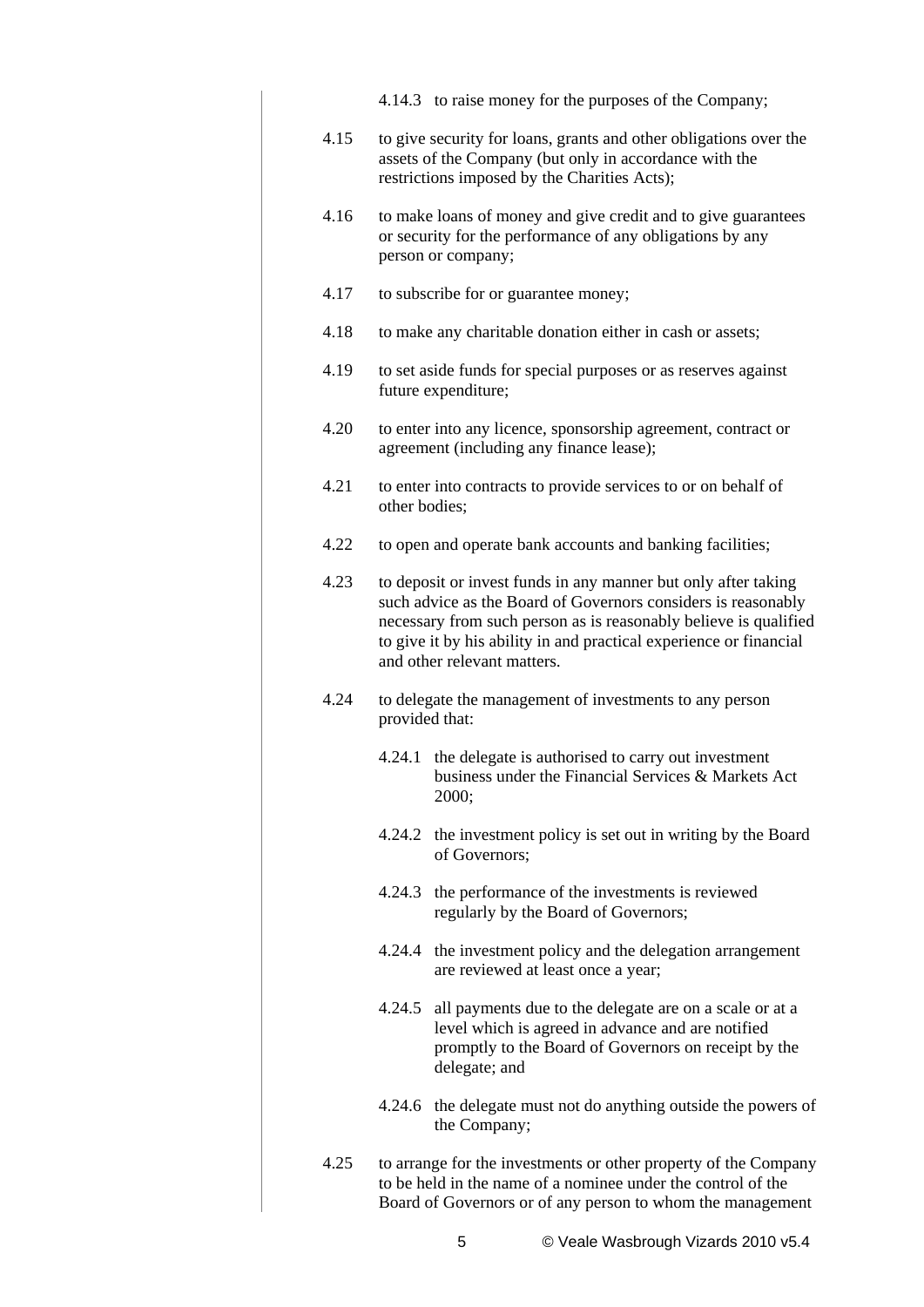- 4.14.3 to raise money for the purposes of the Company;
- 4.15 to give security for loans, grants and other obligations over the assets of the Company (but only in accordance with the restrictions imposed by the Charities Acts);
- 4.16 to make loans of money and give credit and to give guarantees or security for the performance of any obligations by any person or company;
- 4.17 to subscribe for or guarantee money;
- 4.18 to make any charitable donation either in cash or assets;
- 4.19 to set aside funds for special purposes or as reserves against future expenditure;
- 4.20 to enter into any licence, sponsorship agreement, contract or agreement (including any finance lease);
- 4.21 to enter into contracts to provide services to or on behalf of other bodies;
- 4.22 to open and operate bank accounts and banking facilities;
- 4.23 to deposit or invest funds in any manner but only after taking such advice as the Board of Governors considers is reasonably necessary from such person as is reasonably believe is qualified to give it by his ability in and practical experience or financial and other relevant matters.
- 4.24 to delegate the management of investments to any person provided that:
	- 4.24.1 the delegate is authorised to carry out investment business under the Financial Services & Markets Act 2000;
	- 4.24.2 the investment policy is set out in writing by the Board of Governors;
	- 4.24.3 the performance of the investments is reviewed regularly by the Board of Governors;
	- 4.24.4 the investment policy and the delegation arrangement are reviewed at least once a year;
	- 4.24.5 all payments due to the delegate are on a scale or at a level which is agreed in advance and are notified promptly to the Board of Governors on receipt by the delegate; and
	- 4.24.6 the delegate must not do anything outside the powers of the Company;
- 4.25 to arrange for the investments or other property of the Company to be held in the name of a nominee under the control of the Board of Governors or of any person to whom the management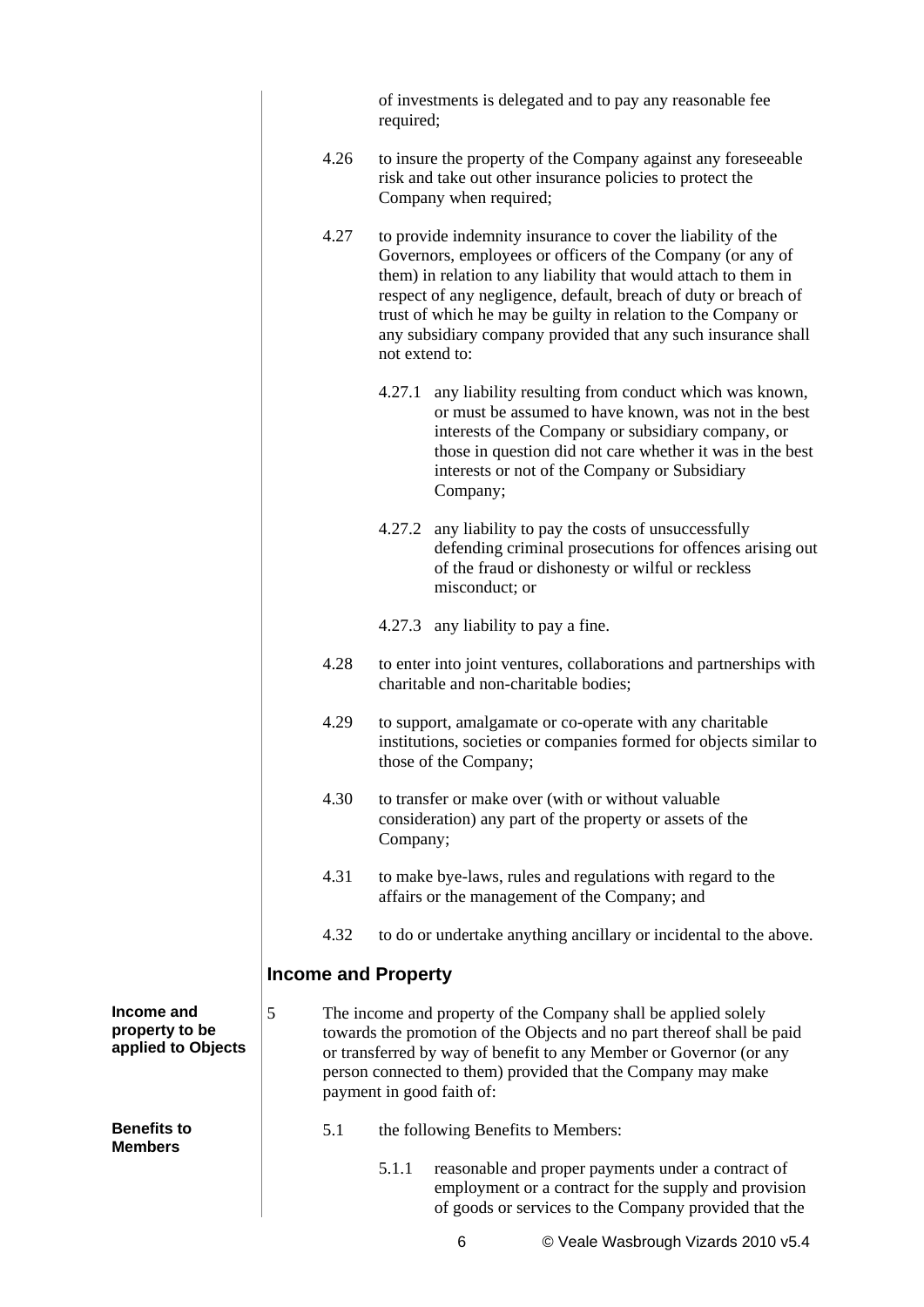|                                           |   |                            | required;      | of investments is delegated and to pay any reasonable fee                                                                                                                                                                                                                                                                                                                                          |  |                                     |  |  |  |
|-------------------------------------------|---|----------------------------|----------------|----------------------------------------------------------------------------------------------------------------------------------------------------------------------------------------------------------------------------------------------------------------------------------------------------------------------------------------------------------------------------------------------------|--|-------------------------------------|--|--|--|
|                                           |   | 4.26                       |                | to insure the property of the Company against any foreseeable<br>risk and take out other insurance policies to protect the<br>Company when required;                                                                                                                                                                                                                                               |  |                                     |  |  |  |
|                                           |   | 4.27                       | not extend to: | to provide indemnity insurance to cover the liability of the<br>Governors, employees or officers of the Company (or any of<br>them) in relation to any liability that would attach to them in<br>respect of any negligence, default, breach of duty or breach of<br>trust of which he may be guilty in relation to the Company or<br>any subsidiary company provided that any such insurance shall |  |                                     |  |  |  |
|                                           |   |                            | 4.27.1         | any liability resulting from conduct which was known,<br>or must be assumed to have known, was not in the best<br>interests of the Company or subsidiary company, or<br>those in question did not care whether it was in the best<br>interests or not of the Company or Subsidiary<br>Company;                                                                                                     |  |                                     |  |  |  |
|                                           |   |                            |                | 4.27.2 any liability to pay the costs of unsuccessfully<br>defending criminal prosecutions for offences arising out<br>of the fraud or dishonesty or wilful or reckless<br>misconduct; or                                                                                                                                                                                                          |  |                                     |  |  |  |
|                                           |   |                            |                | 4.27.3 any liability to pay a fine.                                                                                                                                                                                                                                                                                                                                                                |  |                                     |  |  |  |
|                                           |   | 4.28                       |                | to enter into joint ventures, collaborations and partnerships with<br>charitable and non-charitable bodies;                                                                                                                                                                                                                                                                                        |  |                                     |  |  |  |
|                                           |   | 4.29                       |                | to support, amalgamate or co-operate with any charitable<br>institutions, societies or companies formed for objects similar to<br>those of the Company;                                                                                                                                                                                                                                            |  |                                     |  |  |  |
|                                           |   | 4.30                       | Company;       | to transfer or make over (with or without valuable<br>consideration) any part of the property or assets of the                                                                                                                                                                                                                                                                                     |  |                                     |  |  |  |
|                                           |   | 4.31                       |                | to make bye-laws, rules and regulations with regard to the<br>affairs or the management of the Company; and                                                                                                                                                                                                                                                                                        |  |                                     |  |  |  |
|                                           |   | 4.32                       |                | to do or undertake anything ancillary or incidental to the above.                                                                                                                                                                                                                                                                                                                                  |  |                                     |  |  |  |
|                                           |   | <b>Income and Property</b> |                |                                                                                                                                                                                                                                                                                                                                                                                                    |  |                                     |  |  |  |
| ome and<br>perty to be<br>lied to Objects | 5 |                            |                | The income and property of the Company shall be applied solely<br>towards the promotion of the Objects and no part thereof shall be paid<br>or transferred by way of benefit to any Member or Governor (or any<br>person connected to them) provided that the Company may make<br>payment in good faith of:                                                                                        |  |                                     |  |  |  |
| efits to<br>nbers                         |   | 5.1                        |                | the following Benefits to Members:                                                                                                                                                                                                                                                                                                                                                                 |  |                                     |  |  |  |
|                                           |   |                            | 5.1.1          | reasonable and proper payments under a contract of<br>employment or a contract for the supply and provision<br>of goods or services to the Company provided that the                                                                                                                                                                                                                               |  |                                     |  |  |  |
|                                           |   |                            |                | 6                                                                                                                                                                                                                                                                                                                                                                                                  |  | © Veale Wasbrough Vizards 2010 v5.4 |  |  |  |

**Inco** prop **appl** 

**Ben Men**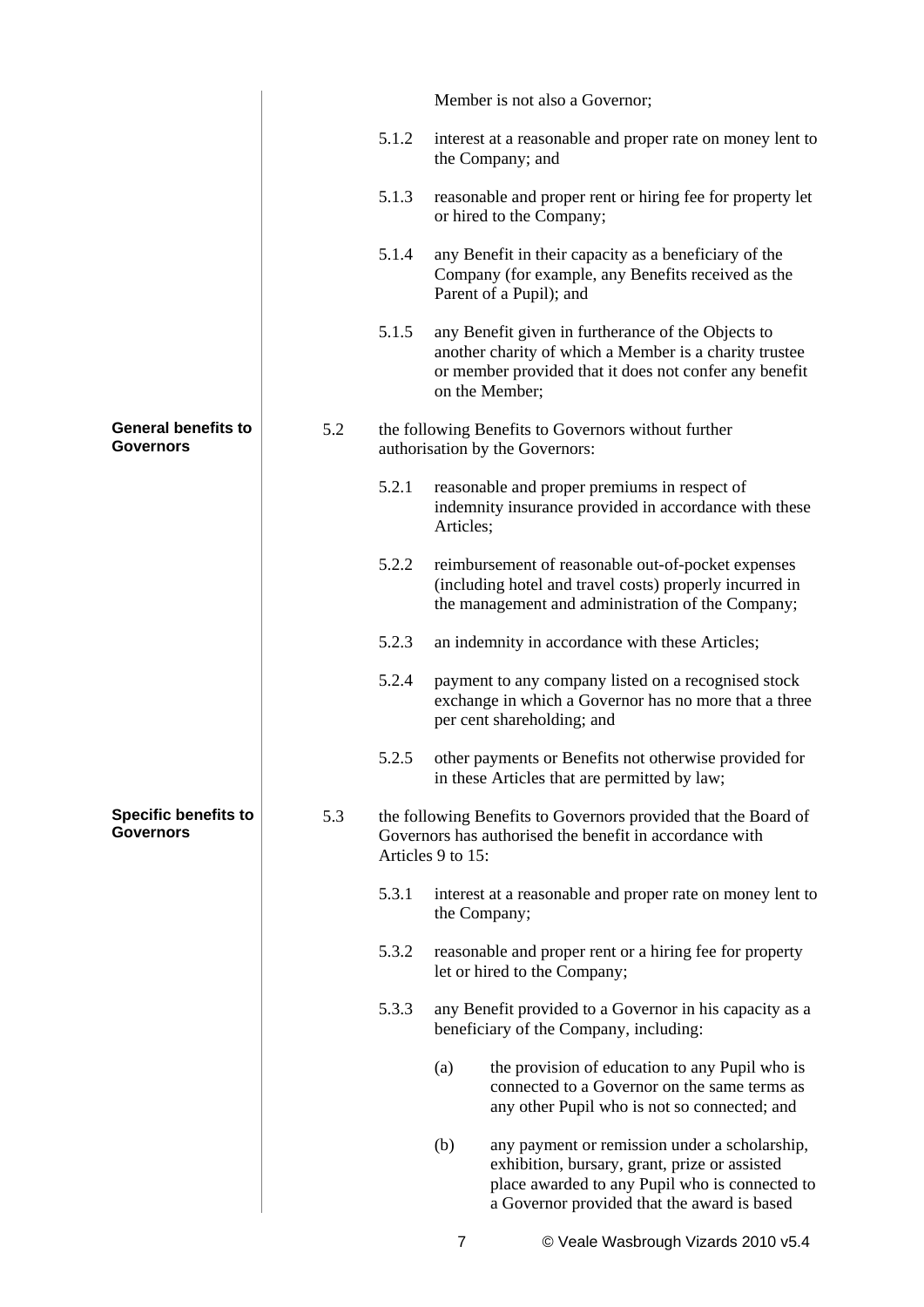|                                                 |     |       | Member is not also a Governor;                                                                                                                                                                         |
|-------------------------------------------------|-----|-------|--------------------------------------------------------------------------------------------------------------------------------------------------------------------------------------------------------|
|                                                 |     | 5.1.2 | interest at a reasonable and proper rate on money lent to<br>the Company; and                                                                                                                          |
|                                                 |     | 5.1.3 | reasonable and proper rent or hiring fee for property let<br>or hired to the Company;                                                                                                                  |
|                                                 |     | 5.1.4 | any Benefit in their capacity as a beneficiary of the<br>Company (for example, any Benefits received as the<br>Parent of a Pupil); and                                                                 |
|                                                 |     | 5.1.5 | any Benefit given in furtherance of the Objects to<br>another charity of which a Member is a charity trustee<br>or member provided that it does not confer any benefit<br>on the Member;               |
| <b>General benefits to</b><br>Governors         | 5.2 |       | the following Benefits to Governors without further<br>authorisation by the Governors:                                                                                                                 |
|                                                 |     | 5.2.1 | reasonable and proper premiums in respect of<br>indemnity insurance provided in accordance with these<br>Articles;                                                                                     |
|                                                 |     | 5.2.2 | reimbursement of reasonable out-of-pocket expenses<br>(including hotel and travel costs) properly incurred in<br>the management and administration of the Company;                                     |
|                                                 |     | 5.2.3 | an indemnity in accordance with these Articles;                                                                                                                                                        |
|                                                 |     | 5.2.4 | payment to any company listed on a recognised stock<br>exchange in which a Governor has no more that a three<br>per cent shareholding; and                                                             |
|                                                 |     | 5.2.5 | other payments or Benefits not otherwise provided for<br>in these Articles that are permitted by law;                                                                                                  |
| <b>Specific benefits to</b><br><b>Governors</b> | 5.3 |       | the following Benefits to Governors provided that the Board of<br>Governors has authorised the benefit in accordance with<br>Articles 9 to 15:                                                         |
|                                                 |     | 5.3.1 | interest at a reasonable and proper rate on money lent to<br>the Company;                                                                                                                              |
|                                                 |     | 5.3.2 | reasonable and proper rent or a hiring fee for property<br>let or hired to the Company;                                                                                                                |
|                                                 |     | 5.3.3 | any Benefit provided to a Governor in his capacity as a<br>beneficiary of the Company, including:                                                                                                      |
|                                                 |     |       | (a)<br>the provision of education to any Pupil who is<br>connected to a Governor on the same terms as<br>any other Pupil who is not so connected; and                                                  |
|                                                 |     |       | (b)<br>any payment or remission under a scholarship,<br>exhibition, bursary, grant, prize or assisted<br>place awarded to any Pupil who is connected to<br>a Governor provided that the award is based |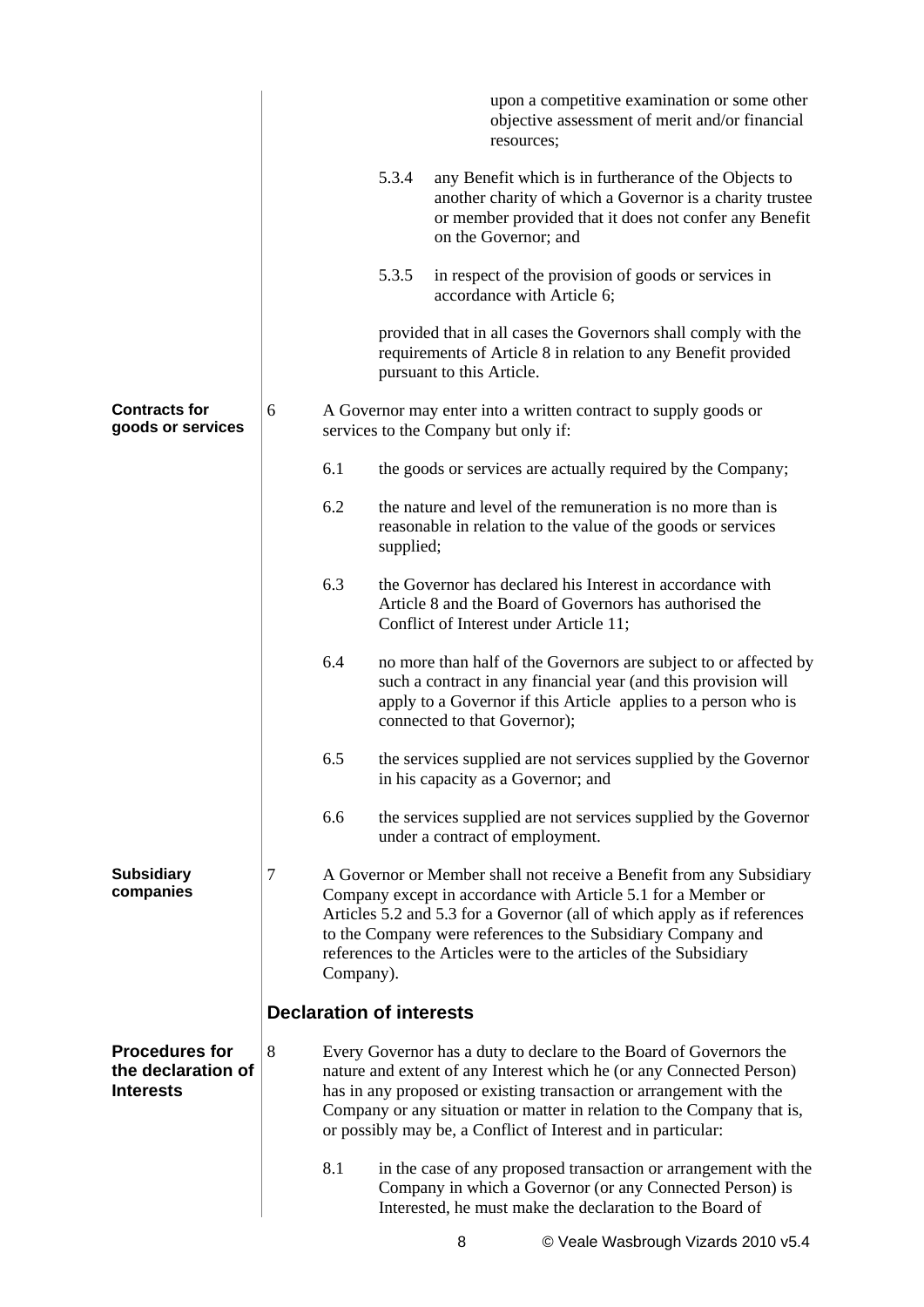|                                                                 |   |                                 |           | upon a competitive examination or some other<br>objective assessment of merit and/or financial<br>resources;                                                                                                                                                                                                                                                 |
|-----------------------------------------------------------------|---|---------------------------------|-----------|--------------------------------------------------------------------------------------------------------------------------------------------------------------------------------------------------------------------------------------------------------------------------------------------------------------------------------------------------------------|
|                                                                 |   |                                 | 5.3.4     | any Benefit which is in furtherance of the Objects to<br>another charity of which a Governor is a charity trustee<br>or member provided that it does not confer any Benefit<br>on the Governor; and                                                                                                                                                          |
|                                                                 |   |                                 | 5.3.5     | in respect of the provision of goods or services in<br>accordance with Article 6;                                                                                                                                                                                                                                                                            |
|                                                                 |   |                                 |           | provided that in all cases the Governors shall comply with the<br>requirements of Article 8 in relation to any Benefit provided<br>pursuant to this Article.                                                                                                                                                                                                 |
| <b>Contracts for</b><br>goods or services                       | 6 |                                 |           | A Governor may enter into a written contract to supply goods or<br>services to the Company but only if:                                                                                                                                                                                                                                                      |
|                                                                 |   | 6.1                             |           | the goods or services are actually required by the Company;                                                                                                                                                                                                                                                                                                  |
|                                                                 |   | 6.2                             | supplied; | the nature and level of the remuneration is no more than is<br>reasonable in relation to the value of the goods or services                                                                                                                                                                                                                                  |
|                                                                 |   | 6.3                             |           | the Governor has declared his Interest in accordance with<br>Article 8 and the Board of Governors has authorised the<br>Conflict of Interest under Article 11;                                                                                                                                                                                               |
|                                                                 |   | 6.4                             |           | no more than half of the Governors are subject to or affected by<br>such a contract in any financial year (and this provision will<br>apply to a Governor if this Article applies to a person who is<br>connected to that Governor);                                                                                                                         |
|                                                                 |   | 6.5                             |           | the services supplied are not services supplied by the Governor<br>in his capacity as a Governor; and                                                                                                                                                                                                                                                        |
|                                                                 |   | 6.6                             |           | the services supplied are not services supplied by the Governor<br>under a contract of employment.                                                                                                                                                                                                                                                           |
| <b>Subsidiary</b><br>companies                                  | 7 | Company).                       |           | A Governor or Member shall not receive a Benefit from any Subsidiary<br>Company except in accordance with Article 5.1 for a Member or<br>Articles 5.2 and 5.3 for a Governor (all of which apply as if references<br>to the Company were references to the Subsidiary Company and<br>references to the Articles were to the articles of the Subsidiary       |
|                                                                 |   | <b>Declaration of interests</b> |           |                                                                                                                                                                                                                                                                                                                                                              |
| <b>Procedures for</b><br>the declaration of<br><b>Interests</b> | 8 |                                 |           | Every Governor has a duty to declare to the Board of Governors the<br>nature and extent of any Interest which he (or any Connected Person)<br>has in any proposed or existing transaction or arrangement with the<br>Company or any situation or matter in relation to the Company that is,<br>or possibly may be, a Conflict of Interest and in particular: |
|                                                                 |   | 8.1                             |           | in the case of any proposed transaction or arrangement with the<br>Company in which a Governor (or any Connected Person) is<br>Interested, he must make the declaration to the Board of                                                                                                                                                                      |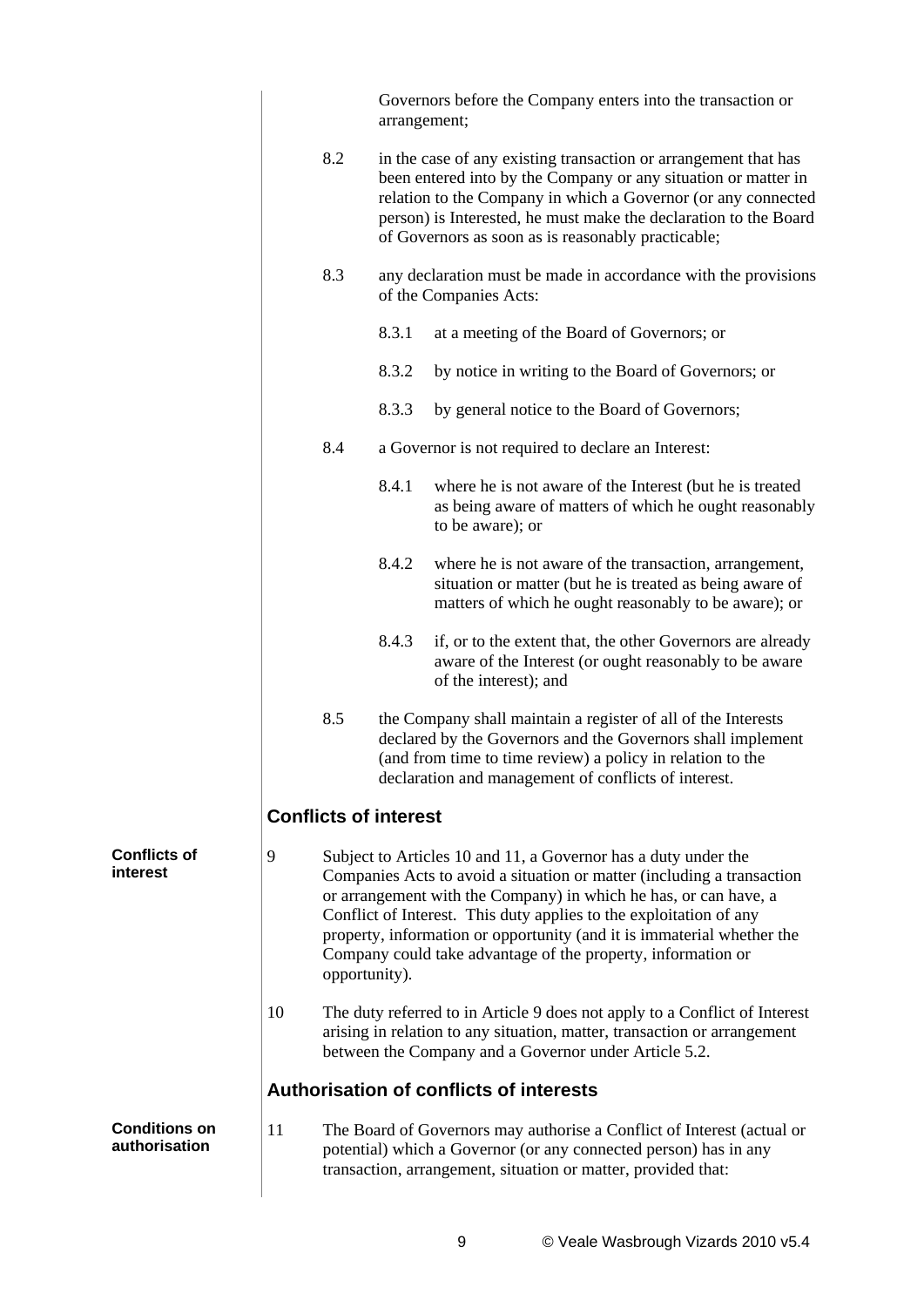|                                       |    |                              | arrangement; | Governors before the Company enters into the transaction or                                                                                                                                                                                                                                                                                                                                                                  |
|---------------------------------------|----|------------------------------|--------------|------------------------------------------------------------------------------------------------------------------------------------------------------------------------------------------------------------------------------------------------------------------------------------------------------------------------------------------------------------------------------------------------------------------------------|
|                                       |    | 8.2                          |              | in the case of any existing transaction or arrangement that has<br>been entered into by the Company or any situation or matter in<br>relation to the Company in which a Governor (or any connected<br>person) is Interested, he must make the declaration to the Board<br>of Governors as soon as is reasonably practicable;                                                                                                 |
|                                       |    | 8.3                          |              | any declaration must be made in accordance with the provisions<br>of the Companies Acts:                                                                                                                                                                                                                                                                                                                                     |
|                                       |    |                              | 8.3.1        | at a meeting of the Board of Governors; or                                                                                                                                                                                                                                                                                                                                                                                   |
|                                       |    |                              | 8.3.2        | by notice in writing to the Board of Governors; or                                                                                                                                                                                                                                                                                                                                                                           |
|                                       |    |                              | 8.3.3        | by general notice to the Board of Governors;                                                                                                                                                                                                                                                                                                                                                                                 |
|                                       |    | 8.4                          |              | a Governor is not required to declare an Interest:                                                                                                                                                                                                                                                                                                                                                                           |
|                                       |    |                              | 8.4.1        | where he is not aware of the Interest (but he is treated<br>as being aware of matters of which he ought reasonably<br>to be aware); or                                                                                                                                                                                                                                                                                       |
|                                       |    |                              | 8.4.2        | where he is not aware of the transaction, arrangement,<br>situation or matter (but he is treated as being aware of<br>matters of which he ought reasonably to be aware); or                                                                                                                                                                                                                                                  |
|                                       |    |                              | 8.4.3        | if, or to the extent that, the other Governors are already<br>aware of the Interest (or ought reasonably to be aware<br>of the interest); and                                                                                                                                                                                                                                                                                |
|                                       |    | 8.5                          |              | the Company shall maintain a register of all of the Interests<br>declared by the Governors and the Governors shall implement<br>(and from time to time review) a policy in relation to the<br>declaration and management of conflicts of interest.                                                                                                                                                                           |
|                                       |    | <b>Conflicts of interest</b> |              |                                                                                                                                                                                                                                                                                                                                                                                                                              |
| Conflicts of<br>interest              | 9  | opportunity).                |              | Subject to Articles 10 and 11, a Governor has a duty under the<br>Companies Acts to avoid a situation or matter (including a transaction<br>or arrangement with the Company) in which he has, or can have, a<br>Conflict of Interest. This duty applies to the exploitation of any<br>property, information or opportunity (and it is immaterial whether the<br>Company could take advantage of the property, information or |
|                                       | 10 |                              |              | The duty referred to in Article 9 does not apply to a Conflict of Interest<br>arising in relation to any situation, matter, transaction or arrangement<br>between the Company and a Governor under Article 5.2.                                                                                                                                                                                                              |
|                                       |    |                              |              | Authorisation of conflicts of interests                                                                                                                                                                                                                                                                                                                                                                                      |
| <b>Conditions on</b><br>authorisation | 11 |                              |              | The Board of Governors may authorise a Conflict of Interest (actual or<br>potential) which a Governor (or any connected person) has in any<br>transaction, arrangement, situation or matter, provided that:                                                                                                                                                                                                                  |
|                                       |    |                              |              |                                                                                                                                                                                                                                                                                                                                                                                                                              |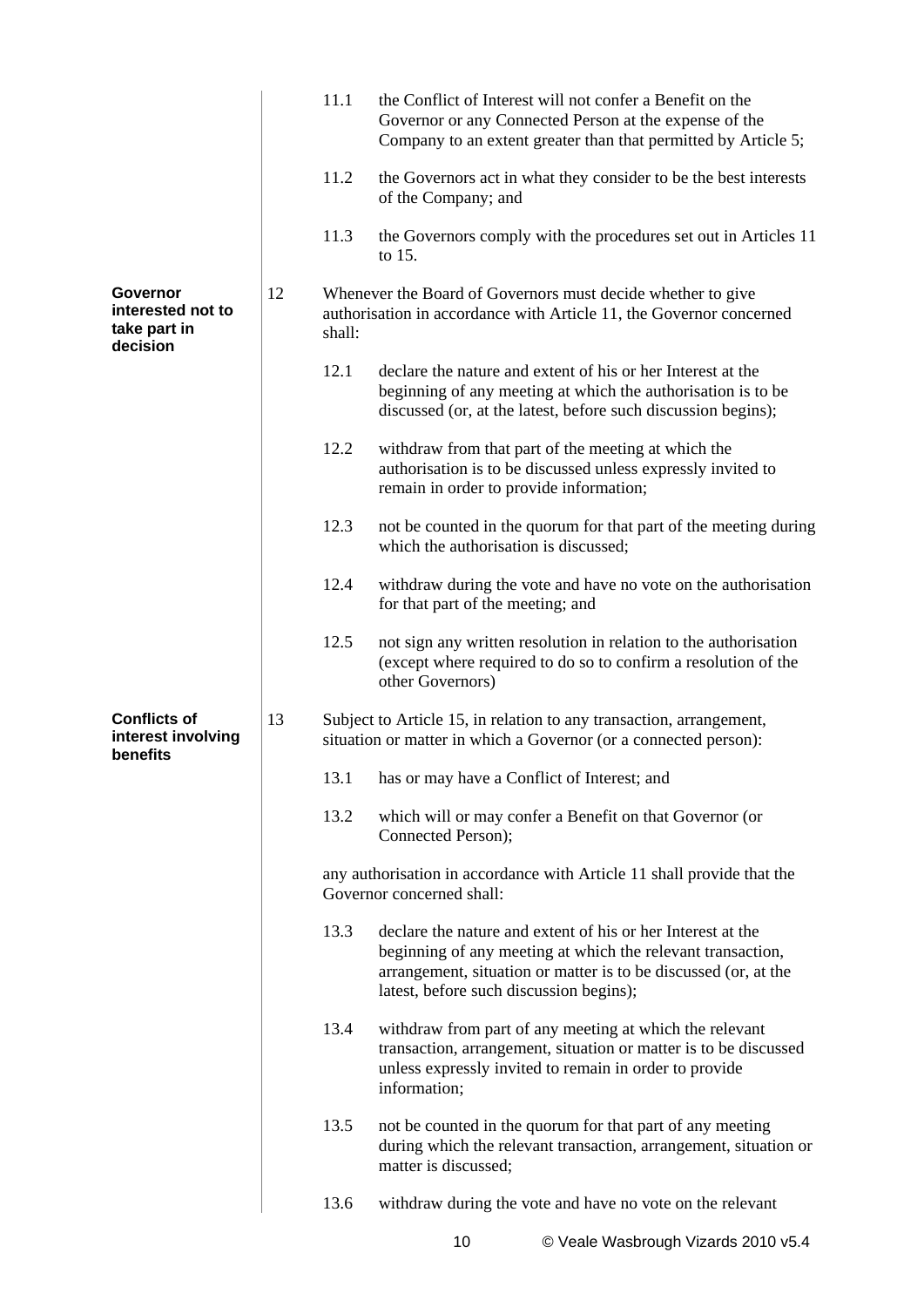|                                                           |    | 11.1   | the Conflict of Interest will not confer a Benefit on the<br>Governor or any Connected Person at the expense of the<br>Company to an extent greater than that permitted by Article 5;                                                    |
|-----------------------------------------------------------|----|--------|------------------------------------------------------------------------------------------------------------------------------------------------------------------------------------------------------------------------------------------|
|                                                           |    | 11.2   | the Governors act in what they consider to be the best interests<br>of the Company; and                                                                                                                                                  |
|                                                           |    | 11.3   | the Governors comply with the procedures set out in Articles 11<br>to 15.                                                                                                                                                                |
| Governor<br>interested not to<br>take part in<br>decision | 12 | shall: | Whenever the Board of Governors must decide whether to give<br>authorisation in accordance with Article 11, the Governor concerned                                                                                                       |
|                                                           |    | 12.1   | declare the nature and extent of his or her Interest at the<br>beginning of any meeting at which the authorisation is to be<br>discussed (or, at the latest, before such discussion begins);                                             |
|                                                           |    | 12.2   | withdraw from that part of the meeting at which the<br>authorisation is to be discussed unless expressly invited to<br>remain in order to provide information;                                                                           |
|                                                           |    | 12.3   | not be counted in the quorum for that part of the meeting during<br>which the authorisation is discussed;                                                                                                                                |
|                                                           |    | 12.4   | withdraw during the vote and have no vote on the authorisation<br>for that part of the meeting; and                                                                                                                                      |
|                                                           |    | 12.5   | not sign any written resolution in relation to the authorisation<br>(except where required to do so to confirm a resolution of the<br>other Governors)                                                                                   |
| <b>Conflicts of</b><br>interest involving<br>benefits     | 13 |        | Subject to Article 15, in relation to any transaction, arrangement,<br>situation or matter in which a Governor (or a connected person):                                                                                                  |
|                                                           |    | 13.1   | has or may have a Conflict of Interest; and                                                                                                                                                                                              |
|                                                           |    | 13.2   | which will or may confer a Benefit on that Governor (or<br>Connected Person);                                                                                                                                                            |
|                                                           |    |        | any authorisation in accordance with Article 11 shall provide that the<br>Governor concerned shall:                                                                                                                                      |
|                                                           |    | 13.3   | declare the nature and extent of his or her Interest at the<br>beginning of any meeting at which the relevant transaction,<br>arrangement, situation or matter is to be discussed (or, at the<br>latest, before such discussion begins); |
|                                                           |    | 13.4   | withdraw from part of any meeting at which the relevant<br>transaction, arrangement, situation or matter is to be discussed<br>unless expressly invited to remain in order to provide<br>information;                                    |
|                                                           |    | 13.5   | not be counted in the quorum for that part of any meeting<br>during which the relevant transaction, arrangement, situation or<br>matter is discussed;                                                                                    |
|                                                           |    | 13.6   | withdraw during the vote and have no vote on the relevant                                                                                                                                                                                |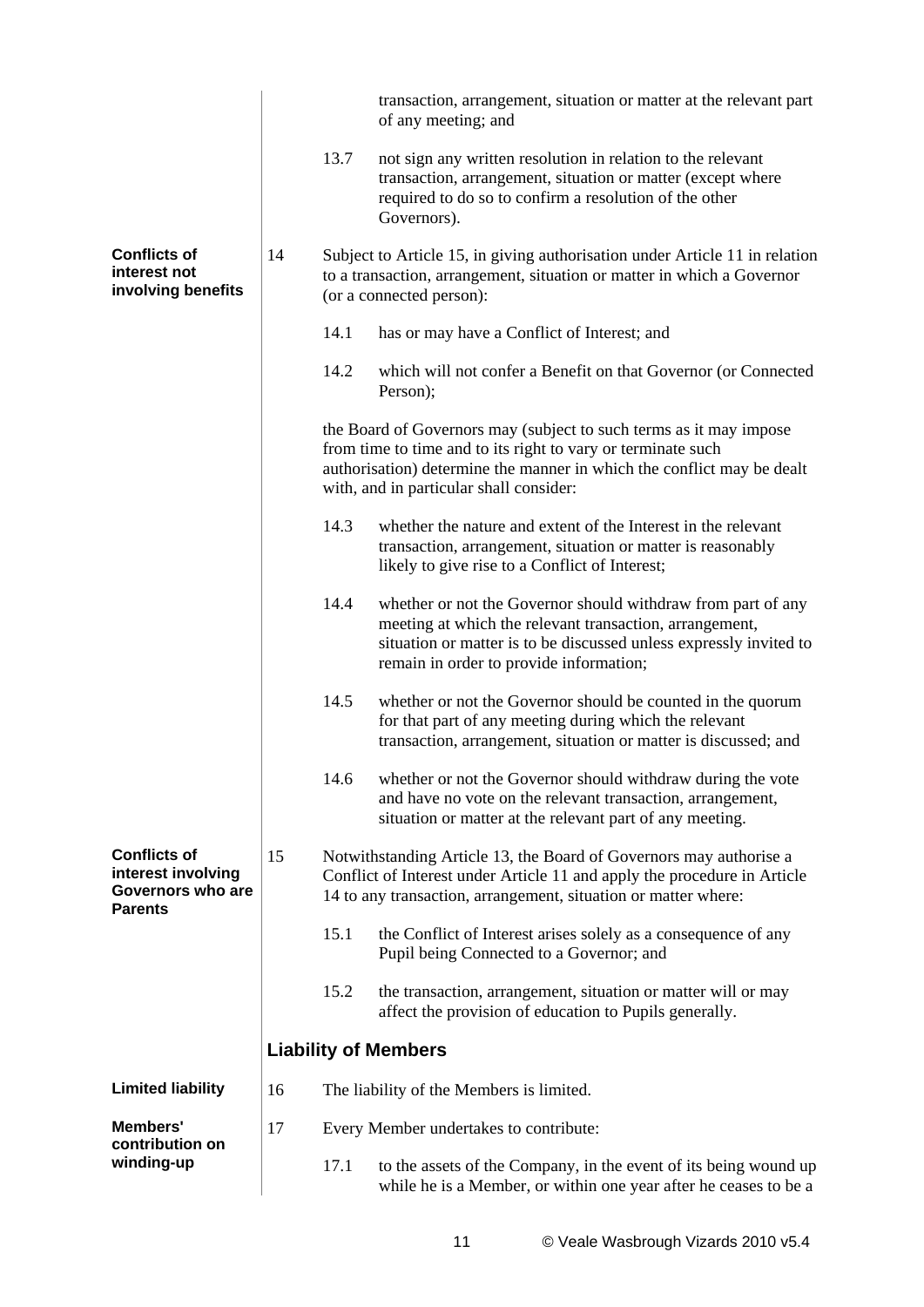|                                                                                  |    |      | transaction, arrangement, situation or matter at the relevant part<br>of any meeting; and                                                                                                                                                               |
|----------------------------------------------------------------------------------|----|------|---------------------------------------------------------------------------------------------------------------------------------------------------------------------------------------------------------------------------------------------------------|
|                                                                                  |    | 13.7 | not sign any written resolution in relation to the relevant<br>transaction, arrangement, situation or matter (except where<br>required to do so to confirm a resolution of the other<br>Governors).                                                     |
| <b>Conflicts of</b><br>interest not<br>involving benefits                        | 14 |      | Subject to Article 15, in giving authorisation under Article 11 in relation<br>to a transaction, arrangement, situation or matter in which a Governor<br>(or a connected person):                                                                       |
|                                                                                  |    | 14.1 | has or may have a Conflict of Interest; and                                                                                                                                                                                                             |
|                                                                                  |    | 14.2 | which will not confer a Benefit on that Governor (or Connected<br>Person);                                                                                                                                                                              |
|                                                                                  |    |      | the Board of Governors may (subject to such terms as it may impose<br>from time to time and to its right to vary or terminate such<br>authorisation) determine the manner in which the conflict may be dealt<br>with, and in particular shall consider: |
|                                                                                  |    | 14.3 | whether the nature and extent of the Interest in the relevant<br>transaction, arrangement, situation or matter is reasonably<br>likely to give rise to a Conflict of Interest;                                                                          |
|                                                                                  |    | 14.4 | whether or not the Governor should withdraw from part of any<br>meeting at which the relevant transaction, arrangement,<br>situation or matter is to be discussed unless expressly invited to<br>remain in order to provide information;                |
|                                                                                  |    | 14.5 | whether or not the Governor should be counted in the quorum<br>for that part of any meeting during which the relevant<br>transaction, arrangement, situation or matter is discussed; and                                                                |
|                                                                                  |    |      | 14.6 whether or not the Governor should withdraw during the vote<br>and have no vote on the relevant transaction, arrangement,<br>situation or matter at the relevant part of any meeting.                                                              |
| <b>Conflicts of</b><br>interest involving<br>Governors who are<br><b>Parents</b> | 15 |      | Notwithstanding Article 13, the Board of Governors may authorise a<br>Conflict of Interest under Article 11 and apply the procedure in Article<br>14 to any transaction, arrangement, situation or matter where:                                        |
|                                                                                  |    | 15.1 | the Conflict of Interest arises solely as a consequence of any<br>Pupil being Connected to a Governor; and                                                                                                                                              |
|                                                                                  |    | 15.2 | the transaction, arrangement, situation or matter will or may<br>affect the provision of education to Pupils generally.                                                                                                                                 |
|                                                                                  |    |      | <b>Liability of Members</b>                                                                                                                                                                                                                             |
| <b>Limited liability</b>                                                         | 16 |      | The liability of the Members is limited.                                                                                                                                                                                                                |
| Members'<br>contribution on                                                      | 17 |      | Every Member undertakes to contribute:                                                                                                                                                                                                                  |
| winding-up                                                                       |    | 17.1 | to the assets of the Company, in the event of its being wound up<br>while he is a Member, or within one year after he ceases to be a                                                                                                                    |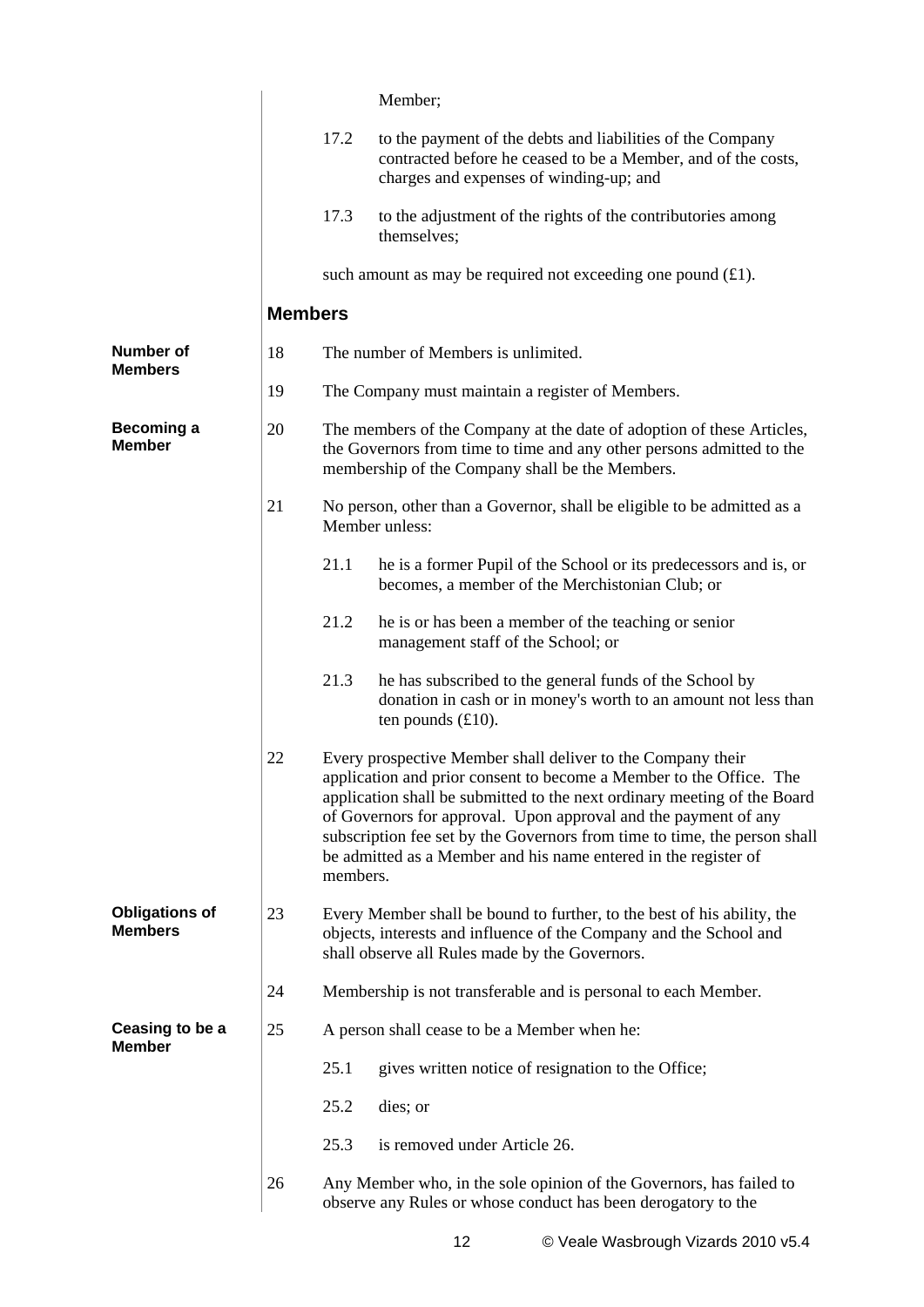|                                         |                |          | Member;                                                                                                                                                                                                                                                                                                                                                                                                                           |
|-----------------------------------------|----------------|----------|-----------------------------------------------------------------------------------------------------------------------------------------------------------------------------------------------------------------------------------------------------------------------------------------------------------------------------------------------------------------------------------------------------------------------------------|
|                                         |                | 17.2     | to the payment of the debts and liabilities of the Company<br>contracted before he ceased to be a Member, and of the costs,<br>charges and expenses of winding-up; and                                                                                                                                                                                                                                                            |
|                                         |                | 17.3     | to the adjustment of the rights of the contributories among<br>themselves;                                                                                                                                                                                                                                                                                                                                                        |
|                                         |                |          | such amount as may be required not exceeding one pound $(f.1)$ .                                                                                                                                                                                                                                                                                                                                                                  |
|                                         | <b>Members</b> |          |                                                                                                                                                                                                                                                                                                                                                                                                                                   |
| <b>Number of</b><br><b>Members</b>      | 18             |          | The number of Members is unlimited.                                                                                                                                                                                                                                                                                                                                                                                               |
|                                         | 19             |          | The Company must maintain a register of Members.                                                                                                                                                                                                                                                                                                                                                                                  |
| <b>Becoming a</b><br><b>Member</b>      | 20             |          | The members of the Company at the date of adoption of these Articles,<br>the Governors from time to time and any other persons admitted to the<br>membership of the Company shall be the Members.                                                                                                                                                                                                                                 |
|                                         | 21             |          | No person, other than a Governor, shall be eligible to be admitted as a<br>Member unless:                                                                                                                                                                                                                                                                                                                                         |
|                                         |                | 21.1     | he is a former Pupil of the School or its predecessors and is, or<br>becomes, a member of the Merchistonian Club; or                                                                                                                                                                                                                                                                                                              |
|                                         |                | 21.2     | he is or has been a member of the teaching or senior<br>management staff of the School; or                                                                                                                                                                                                                                                                                                                                        |
|                                         |                | 21.3     | he has subscribed to the general funds of the School by<br>donation in cash or in money's worth to an amount not less than<br>ten pounds $(f10)$ .                                                                                                                                                                                                                                                                                |
|                                         | 22             | members. | Every prospective Member shall deliver to the Company their<br>application and prior consent to become a Member to the Office. The<br>application shall be submitted to the next ordinary meeting of the Board<br>of Governors for approval. Upon approval and the payment of any<br>subscription fee set by the Governors from time to time, the person shall<br>be admitted as a Member and his name entered in the register of |
| <b>Obligations of</b><br><b>Members</b> | 23             |          | Every Member shall be bound to further, to the best of his ability, the<br>objects, interests and influence of the Company and the School and<br>shall observe all Rules made by the Governors.                                                                                                                                                                                                                                   |
|                                         | 24             |          | Membership is not transferable and is personal to each Member.                                                                                                                                                                                                                                                                                                                                                                    |
| Ceasing to be a                         | 25             |          | A person shall cease to be a Member when he:                                                                                                                                                                                                                                                                                                                                                                                      |
| <b>Member</b>                           |                | 25.1     | gives written notice of resignation to the Office;                                                                                                                                                                                                                                                                                                                                                                                |
|                                         |                | 25.2     | dies; or                                                                                                                                                                                                                                                                                                                                                                                                                          |
|                                         |                | 25.3     | is removed under Article 26.                                                                                                                                                                                                                                                                                                                                                                                                      |
|                                         | 26             |          | Any Member who, in the sole opinion of the Governors, has failed to<br>observe any Rules or whose conduct has been derogatory to the                                                                                                                                                                                                                                                                                              |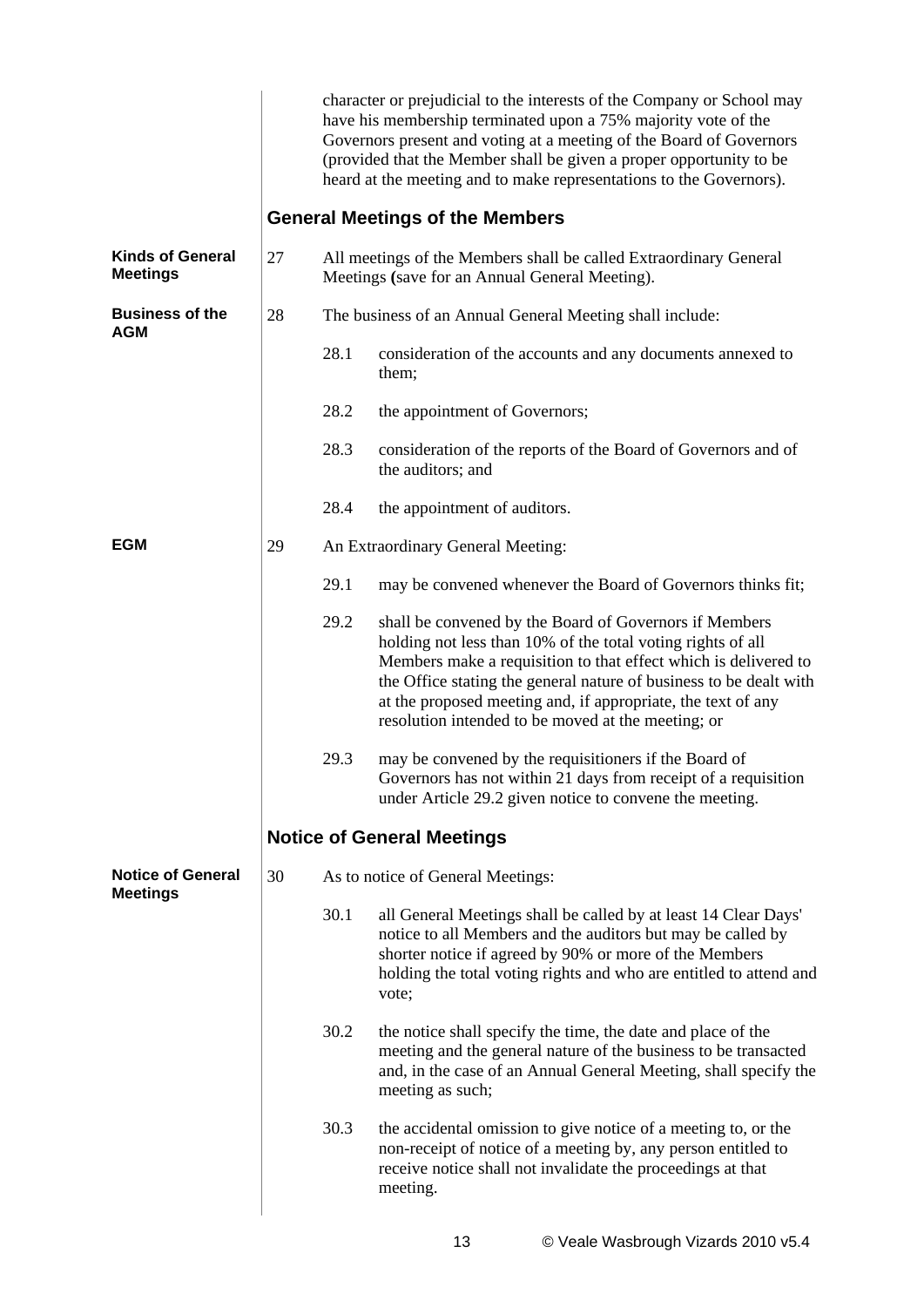|                                            |    |      | character or prejudicial to the interests of the Company or School may<br>have his membership terminated upon a 75% majority vote of the<br>Governors present and voting at a meeting of the Board of Governors<br>(provided that the Member shall be given a proper opportunity to be<br>heard at the meeting and to make representations to the Governors).                        |
|--------------------------------------------|----|------|--------------------------------------------------------------------------------------------------------------------------------------------------------------------------------------------------------------------------------------------------------------------------------------------------------------------------------------------------------------------------------------|
|                                            |    |      | <b>General Meetings of the Members</b>                                                                                                                                                                                                                                                                                                                                               |
| <b>Kinds of General</b><br><b>Meetings</b> | 27 |      | All meetings of the Members shall be called Extraordinary General<br>Meetings (save for an Annual General Meeting).                                                                                                                                                                                                                                                                  |
| <b>Business of the</b><br><b>AGM</b>       | 28 |      | The business of an Annual General Meeting shall include:                                                                                                                                                                                                                                                                                                                             |
|                                            |    | 28.1 | consideration of the accounts and any documents annexed to<br>them;                                                                                                                                                                                                                                                                                                                  |
|                                            |    | 28.2 | the appointment of Governors;                                                                                                                                                                                                                                                                                                                                                        |
|                                            |    | 28.3 | consideration of the reports of the Board of Governors and of<br>the auditors; and                                                                                                                                                                                                                                                                                                   |
|                                            |    | 28.4 | the appointment of auditors.                                                                                                                                                                                                                                                                                                                                                         |
| <b>EGM</b>                                 | 29 |      | An Extraordinary General Meeting:                                                                                                                                                                                                                                                                                                                                                    |
|                                            |    | 29.1 | may be convened whenever the Board of Governors thinks fit;                                                                                                                                                                                                                                                                                                                          |
|                                            |    | 29.2 | shall be convened by the Board of Governors if Members<br>holding not less than 10% of the total voting rights of all<br>Members make a requisition to that effect which is delivered to<br>the Office stating the general nature of business to be dealt with<br>at the proposed meeting and, if appropriate, the text of any<br>resolution intended to be moved at the meeting; or |
|                                            |    | 29.3 | may be convened by the requisitioners if the Board of<br>Governors has not within 21 days from receipt of a requisition<br>under Article 29.2 given notice to convene the meeting.                                                                                                                                                                                                   |
|                                            |    |      | <b>Notice of General Meetings</b>                                                                                                                                                                                                                                                                                                                                                    |
| <b>Notice of General</b>                   | 30 |      | As to notice of General Meetings:                                                                                                                                                                                                                                                                                                                                                    |
| <b>Meetings</b>                            |    | 30.1 | all General Meetings shall be called by at least 14 Clear Days'<br>notice to all Members and the auditors but may be called by<br>shorter notice if agreed by 90% or more of the Members<br>holding the total voting rights and who are entitled to attend and<br>vote;                                                                                                              |
|                                            |    | 30.2 | the notice shall specify the time, the date and place of the<br>meeting and the general nature of the business to be transacted<br>and, in the case of an Annual General Meeting, shall specify the<br>meeting as such;                                                                                                                                                              |
|                                            |    | 30.3 | the accidental omission to give notice of a meeting to, or the<br>non-receipt of notice of a meeting by, any person entitled to<br>receive notice shall not invalidate the proceedings at that<br>meeting.                                                                                                                                                                           |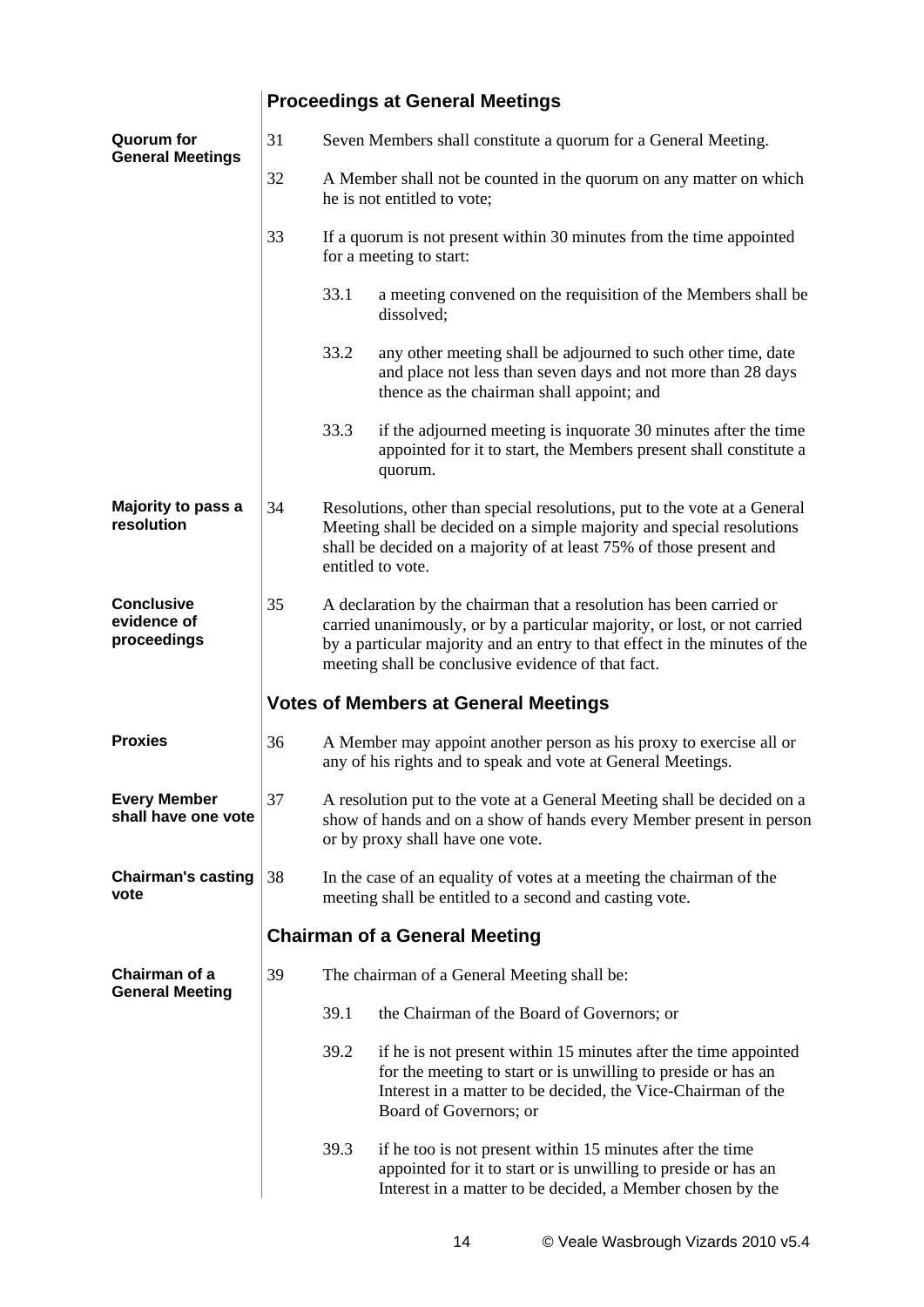|                                                 |    | <b>Proceedings at General Meetings</b>                                                                                                                                                                                                                                               |                                                                                                                                                                                                                                                |  |  |
|-------------------------------------------------|----|--------------------------------------------------------------------------------------------------------------------------------------------------------------------------------------------------------------------------------------------------------------------------------------|------------------------------------------------------------------------------------------------------------------------------------------------------------------------------------------------------------------------------------------------|--|--|
| <b>Quorum</b> for<br><b>General Meetings</b>    | 31 |                                                                                                                                                                                                                                                                                      | Seven Members shall constitute a quorum for a General Meeting.                                                                                                                                                                                 |  |  |
|                                                 | 32 |                                                                                                                                                                                                                                                                                      | A Member shall not be counted in the quorum on any matter on which<br>he is not entitled to vote;                                                                                                                                              |  |  |
|                                                 | 33 |                                                                                                                                                                                                                                                                                      | If a quorum is not present within 30 minutes from the time appointed<br>for a meeting to start:                                                                                                                                                |  |  |
|                                                 |    | 33.1                                                                                                                                                                                                                                                                                 | a meeting convened on the requisition of the Members shall be<br>dissolved;                                                                                                                                                                    |  |  |
|                                                 |    | 33.2                                                                                                                                                                                                                                                                                 | any other meeting shall be adjourned to such other time, date<br>and place not less than seven days and not more than 28 days<br>thence as the chairman shall appoint; and                                                                     |  |  |
|                                                 |    | 33.3                                                                                                                                                                                                                                                                                 | if the adjourned meeting is inquorate 30 minutes after the time<br>appointed for it to start, the Members present shall constitute a<br>quorum.                                                                                                |  |  |
| Majority to pass a<br>resolution                | 34 |                                                                                                                                                                                                                                                                                      | Resolutions, other than special resolutions, put to the vote at a General<br>Meeting shall be decided on a simple majority and special resolutions<br>shall be decided on a majority of at least 75% of those present and<br>entitled to vote. |  |  |
| <b>Conclusive</b><br>evidence of<br>proceedings | 35 | A declaration by the chairman that a resolution has been carried or<br>carried unanimously, or by a particular majority, or lost, or not carried<br>by a particular majority and an entry to that effect in the minutes of the<br>meeting shall be conclusive evidence of that fact. |                                                                                                                                                                                                                                                |  |  |
|                                                 |    |                                                                                                                                                                                                                                                                                      | <b>Votes of Members at General Meetings</b>                                                                                                                                                                                                    |  |  |
| <b>Proxies</b>                                  | 36 |                                                                                                                                                                                                                                                                                      | A Member may appoint another person as his proxy to exercise all or<br>any of his rights and to speak and vote at General Meetings.                                                                                                            |  |  |
| <b>Every Member</b><br>shall have one vote      | 37 |                                                                                                                                                                                                                                                                                      | A resolution put to the vote at a General Meeting shall be decided on a<br>show of hands and on a show of hands every Member present in person<br>or by proxy shall have one vote.                                                             |  |  |
| <b>Chairman's casting</b><br>vote               | 38 | In the case of an equality of votes at a meeting the chairman of the<br>meeting shall be entitled to a second and casting vote.                                                                                                                                                      |                                                                                                                                                                                                                                                |  |  |
|                                                 |    |                                                                                                                                                                                                                                                                                      | <b>Chairman of a General Meeting</b>                                                                                                                                                                                                           |  |  |
| Chairman of a<br><b>General Meeting</b>         | 39 |                                                                                                                                                                                                                                                                                      | The chairman of a General Meeting shall be:                                                                                                                                                                                                    |  |  |
|                                                 |    | 39.1                                                                                                                                                                                                                                                                                 | the Chairman of the Board of Governors; or                                                                                                                                                                                                     |  |  |
|                                                 |    | 39.2                                                                                                                                                                                                                                                                                 | if he is not present within 15 minutes after the time appointed<br>for the meeting to start or is unwilling to preside or has an<br>Interest in a matter to be decided, the Vice-Chairman of the<br>Board of Governors; or                     |  |  |
|                                                 |    | 39.3                                                                                                                                                                                                                                                                                 | if he too is not present within 15 minutes after the time<br>appointed for it to start or is unwilling to preside or has an<br>Interest in a matter to be decided, a Member chosen by the                                                      |  |  |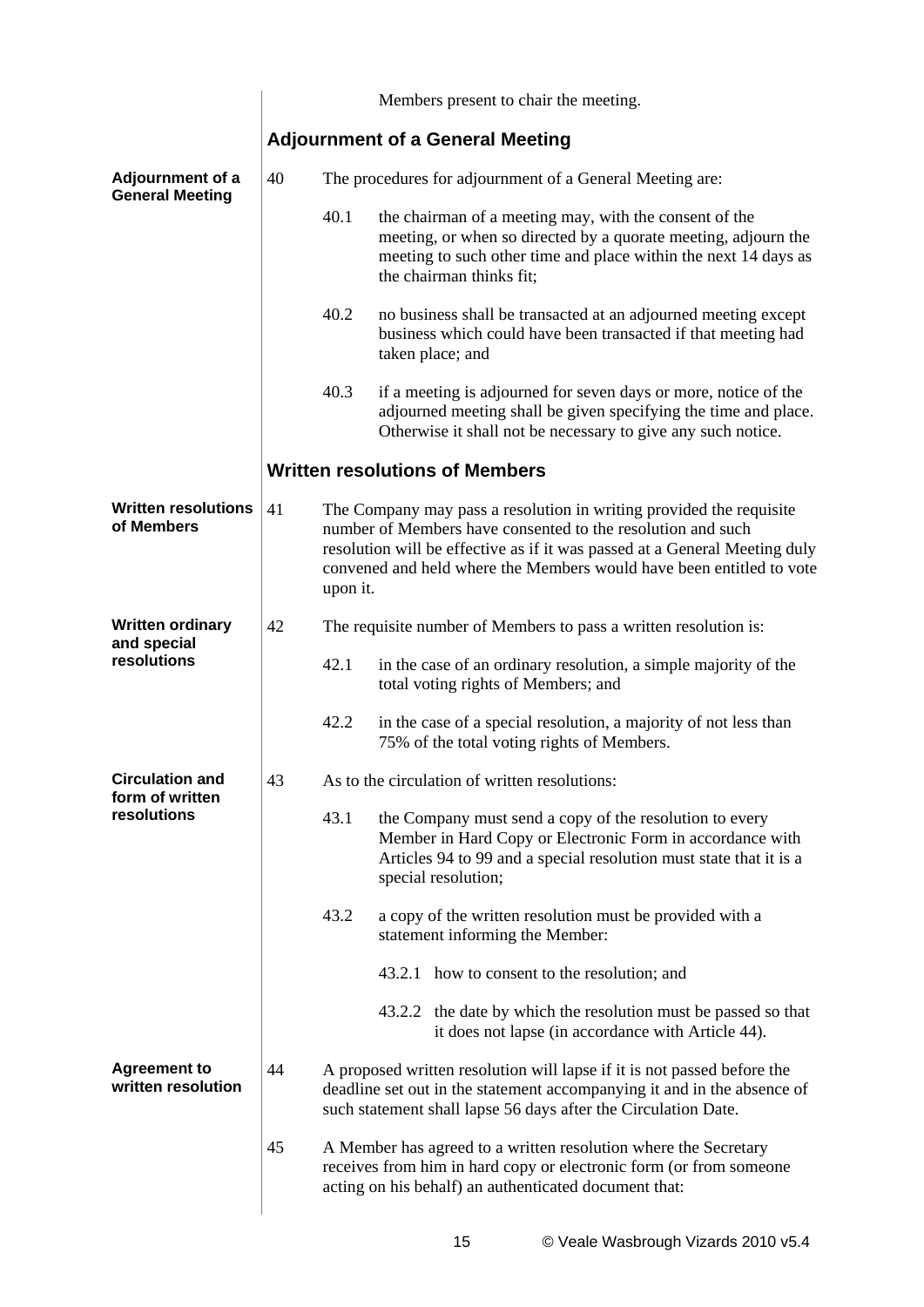|                                            |    |                                                                  | Members present to chair the meeting.                                                                                                                                                                                                                                                    |  |  |
|--------------------------------------------|----|------------------------------------------------------------------|------------------------------------------------------------------------------------------------------------------------------------------------------------------------------------------------------------------------------------------------------------------------------------------|--|--|
|                                            |    |                                                                  | <b>Adjournment of a General Meeting</b>                                                                                                                                                                                                                                                  |  |  |
| Adjournment of a<br><b>General Meeting</b> | 40 |                                                                  | The procedures for adjournment of a General Meeting are:                                                                                                                                                                                                                                 |  |  |
|                                            |    | 40.1                                                             | the chairman of a meeting may, with the consent of the<br>meeting, or when so directed by a quorate meeting, adjourn the<br>meeting to such other time and place within the next 14 days as<br>the chairman thinks fit;                                                                  |  |  |
|                                            |    | 40.2                                                             | no business shall be transacted at an adjourned meeting except<br>business which could have been transacted if that meeting had<br>taken place; and                                                                                                                                      |  |  |
|                                            |    | 40.3                                                             | if a meeting is adjourned for seven days or more, notice of the<br>adjourned meeting shall be given specifying the time and place.<br>Otherwise it shall not be necessary to give any such notice.                                                                                       |  |  |
|                                            |    |                                                                  | <b>Written resolutions of Members</b>                                                                                                                                                                                                                                                    |  |  |
| <b>Written resolutions</b><br>of Members   | 41 | upon it.                                                         | The Company may pass a resolution in writing provided the requisite<br>number of Members have consented to the resolution and such<br>resolution will be effective as if it was passed at a General Meeting duly<br>convened and held where the Members would have been entitled to vote |  |  |
| <b>Written ordinary</b><br>and special     | 42 | The requisite number of Members to pass a written resolution is: |                                                                                                                                                                                                                                                                                          |  |  |
| resolutions                                |    | 42.1                                                             | in the case of an ordinary resolution, a simple majority of the<br>total voting rights of Members; and                                                                                                                                                                                   |  |  |
|                                            |    | 42.2                                                             | in the case of a special resolution, a majority of not less than<br>75% of the total voting rights of Members.                                                                                                                                                                           |  |  |
| <b>Circulation and</b><br>form of written  | 43 | As to the circulation of written resolutions:                    |                                                                                                                                                                                                                                                                                          |  |  |
| resolutions                                |    | 43.1                                                             | the Company must send a copy of the resolution to every<br>Member in Hard Copy or Electronic Form in accordance with<br>Articles 94 to 99 and a special resolution must state that it is a<br>special resolution;                                                                        |  |  |
|                                            |    | 43.2                                                             | a copy of the written resolution must be provided with a<br>statement informing the Member:                                                                                                                                                                                              |  |  |
|                                            |    |                                                                  | 43.2.1 how to consent to the resolution; and                                                                                                                                                                                                                                             |  |  |
|                                            |    |                                                                  | 43.2.2 the date by which the resolution must be passed so that<br>it does not lapse (in accordance with Article 44).                                                                                                                                                                     |  |  |
| <b>Agreement to</b><br>written resolution  | 44 |                                                                  | A proposed written resolution will lapse if it is not passed before the<br>deadline set out in the statement accompanying it and in the absence of<br>such statement shall lapse 56 days after the Circulation Date.                                                                     |  |  |
|                                            | 45 |                                                                  | A Member has agreed to a written resolution where the Secretary<br>receives from him in hard copy or electronic form (or from someone<br>acting on his behalf) an authenticated document that:                                                                                           |  |  |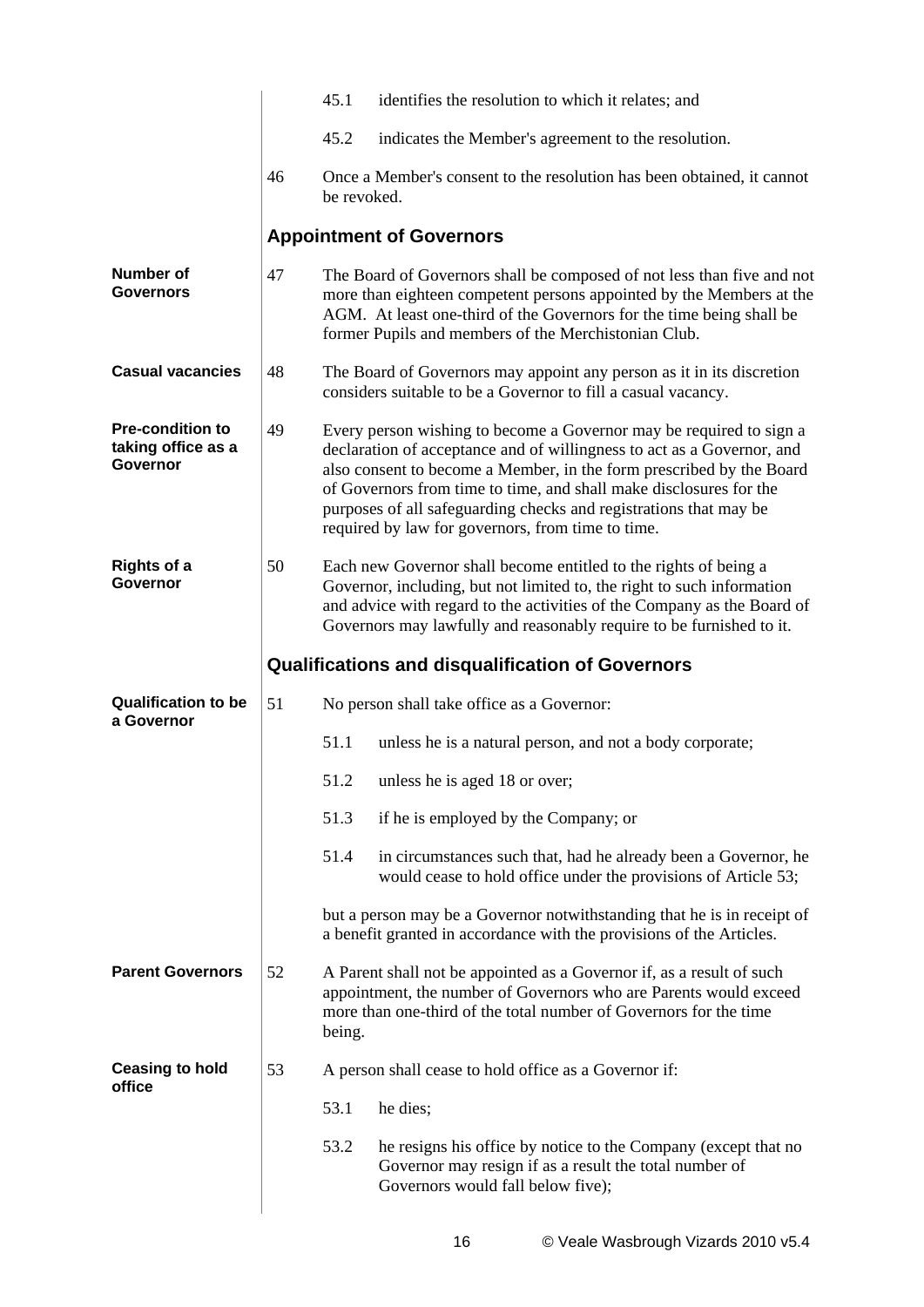|                                                                  |    | 45.1        | identifies the resolution to which it relates; and                                                                                                                                                                                                                                                                                                                                                                    |
|------------------------------------------------------------------|----|-------------|-----------------------------------------------------------------------------------------------------------------------------------------------------------------------------------------------------------------------------------------------------------------------------------------------------------------------------------------------------------------------------------------------------------------------|
|                                                                  |    | 45.2        | indicates the Member's agreement to the resolution.                                                                                                                                                                                                                                                                                                                                                                   |
|                                                                  | 46 | be revoked. | Once a Member's consent to the resolution has been obtained, it cannot                                                                                                                                                                                                                                                                                                                                                |
|                                                                  |    |             | <b>Appointment of Governors</b>                                                                                                                                                                                                                                                                                                                                                                                       |
| <b>Number of</b><br><b>Governors</b>                             | 47 |             | The Board of Governors shall be composed of not less than five and not<br>more than eighteen competent persons appointed by the Members at the<br>AGM. At least one-third of the Governors for the time being shall be<br>former Pupils and members of the Merchistonian Club.                                                                                                                                        |
| <b>Casual vacancies</b>                                          | 48 |             | The Board of Governors may appoint any person as it in its discretion<br>considers suitable to be a Governor to fill a casual vacancy.                                                                                                                                                                                                                                                                                |
| <b>Pre-condition to</b><br>taking office as a<br><b>Governor</b> | 49 |             | Every person wishing to become a Governor may be required to sign a<br>declaration of acceptance and of willingness to act as a Governor, and<br>also consent to become a Member, in the form prescribed by the Board<br>of Governors from time to time, and shall make disclosures for the<br>purposes of all safeguarding checks and registrations that may be<br>required by law for governors, from time to time. |
| <b>Rights of a</b><br><b>Governor</b>                            | 50 |             | Each new Governor shall become entitled to the rights of being a<br>Governor, including, but not limited to, the right to such information<br>and advice with regard to the activities of the Company as the Board of<br>Governors may lawfully and reasonably require to be furnished to it.                                                                                                                         |
|                                                                  |    |             |                                                                                                                                                                                                                                                                                                                                                                                                                       |
|                                                                  |    |             | <b>Qualifications and disqualification of Governors</b>                                                                                                                                                                                                                                                                                                                                                               |
| <b>Qualification to be</b>                                       | 51 |             | No person shall take office as a Governor:                                                                                                                                                                                                                                                                                                                                                                            |
| a Governor                                                       |    | 51.1        | unless he is a natural person, and not a body corporate;                                                                                                                                                                                                                                                                                                                                                              |
|                                                                  |    | 51.2        | unless he is aged 18 or over;                                                                                                                                                                                                                                                                                                                                                                                         |
|                                                                  |    | 51.3        | if he is employed by the Company; or                                                                                                                                                                                                                                                                                                                                                                                  |
|                                                                  |    | 51.4        | in circumstances such that, had he already been a Governor, he<br>would cease to hold office under the provisions of Article 53;                                                                                                                                                                                                                                                                                      |
|                                                                  |    |             | but a person may be a Governor notwithstanding that he is in receipt of<br>a benefit granted in accordance with the provisions of the Articles.                                                                                                                                                                                                                                                                       |
| <b>Parent Governors</b>                                          | 52 | being.      | A Parent shall not be appointed as a Governor if, as a result of such<br>appointment, the number of Governors who are Parents would exceed<br>more than one-third of the total number of Governors for the time                                                                                                                                                                                                       |
| <b>Ceasing to hold</b>                                           | 53 |             | A person shall cease to hold office as a Governor if:                                                                                                                                                                                                                                                                                                                                                                 |
| office                                                           |    | 53.1        | he dies;                                                                                                                                                                                                                                                                                                                                                                                                              |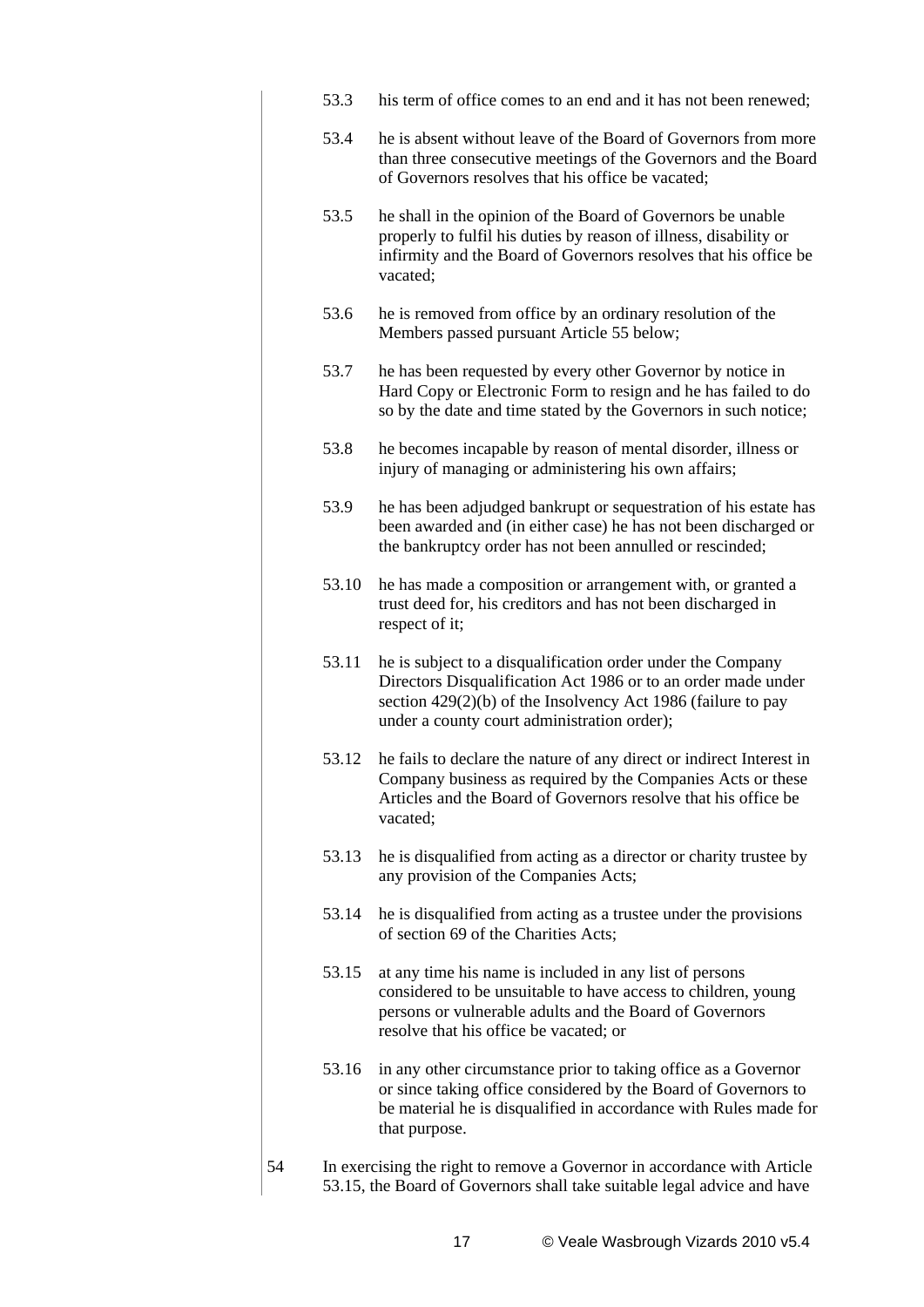- 53.3 his term of office comes to an end and it has not been renewed;
- 53.4 he is absent without leave of the Board of Governors from more than three consecutive meetings of the Governors and the Board of Governors resolves that his office be vacated;
- 53.5 he shall in the opinion of the Board of Governors be unable properly to fulfil his duties by reason of illness, disability or infirmity and the Board of Governors resolves that his office be vacated;
- 53.6 he is removed from office by an ordinary resolution of the Members passed pursuant Article 55 below;
- 53.7 he has been requested by every other Governor by notice in Hard Copy or Electronic Form to resign and he has failed to do so by the date and time stated by the Governors in such notice;
- 53.8 he becomes incapable by reason of mental disorder, illness or injury of managing or administering his own affairs;
- 53.9 he has been adjudged bankrupt or sequestration of his estate has been awarded and (in either case) he has not been discharged or the bankruptcy order has not been annulled or rescinded;
- 53.10 he has made a composition or arrangement with, or granted a trust deed for, his creditors and has not been discharged in respect of it;
- 53.11 he is subject to a disqualification order under the Company Directors Disqualification Act 1986 or to an order made under section 429(2)(b) of the Insolvency Act 1986 (failure to pay under a county court administration order);
- 53.12 he fails to declare the nature of any direct or indirect Interest in Company business as required by the Companies Acts or these Articles and the Board of Governors resolve that his office be vacated;
- 53.13 he is disqualified from acting as a director or charity trustee by any provision of the Companies Acts;
- 53.14 he is disqualified from acting as a trustee under the provisions of section 69 of the Charities Acts;
- 53.15 at any time his name is included in any list of persons considered to be unsuitable to have access to children, young persons or vulnerable adults and the Board of Governors resolve that his office be vacated; or
- 53.16 in any other circumstance prior to taking office as a Governor or since taking office considered by the Board of Governors to be material he is disqualified in accordance with Rules made for that purpose.
- 54 In exercising the right to remove a Governor in accordance with Article 53.15, the Board of Governors shall take suitable legal advice and have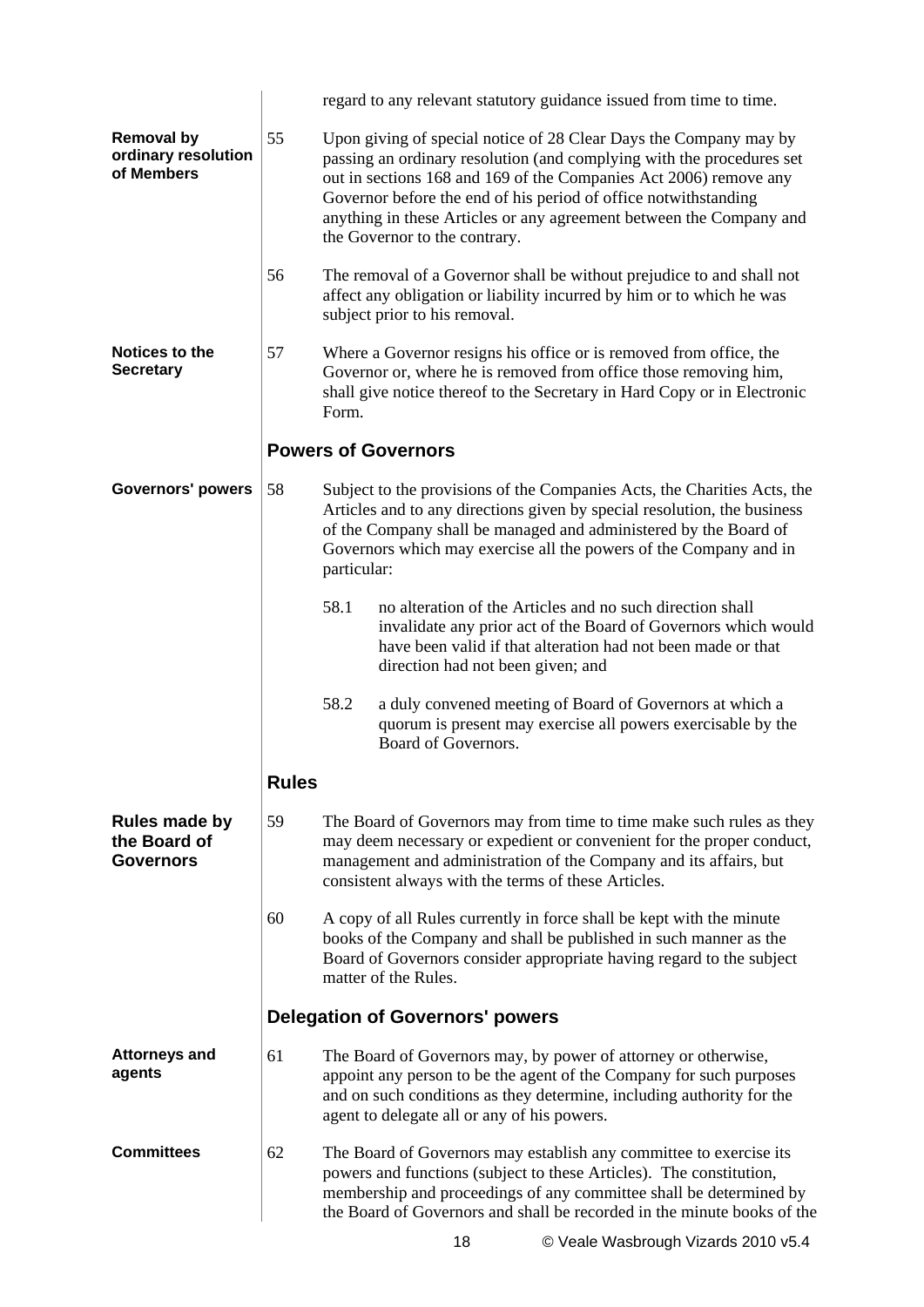|                                                          |              |             | regard to any relevant statutory guidance issued from time to time.                                                                                                                                                                                                                                                                                                                        |
|----------------------------------------------------------|--------------|-------------|--------------------------------------------------------------------------------------------------------------------------------------------------------------------------------------------------------------------------------------------------------------------------------------------------------------------------------------------------------------------------------------------|
| <b>Removal by</b><br>ordinary resolution<br>of Members   | 55           |             | Upon giving of special notice of 28 Clear Days the Company may by<br>passing an ordinary resolution (and complying with the procedures set<br>out in sections 168 and 169 of the Companies Act 2006) remove any<br>Governor before the end of his period of office notwithstanding<br>anything in these Articles or any agreement between the Company and<br>the Governor to the contrary. |
|                                                          | 56           |             | The removal of a Governor shall be without prejudice to and shall not<br>affect any obligation or liability incurred by him or to which he was<br>subject prior to his removal.                                                                                                                                                                                                            |
| <b>Notices to the</b><br><b>Secretary</b>                | 57           | Form.       | Where a Governor resigns his office or is removed from office, the<br>Governor or, where he is removed from office those removing him,<br>shall give notice thereof to the Secretary in Hard Copy or in Electronic                                                                                                                                                                         |
|                                                          |              |             | <b>Powers of Governors</b>                                                                                                                                                                                                                                                                                                                                                                 |
| <b>Governors' powers</b>                                 | 58           | particular: | Subject to the provisions of the Companies Acts, the Charities Acts, the<br>Articles and to any directions given by special resolution, the business<br>of the Company shall be managed and administered by the Board of<br>Governors which may exercise all the powers of the Company and in                                                                                              |
|                                                          |              | 58.1        | no alteration of the Articles and no such direction shall<br>invalidate any prior act of the Board of Governors which would<br>have been valid if that alteration had not been made or that<br>direction had not been given; and                                                                                                                                                           |
|                                                          |              | 58.2        | a duly convened meeting of Board of Governors at which a<br>quorum is present may exercise all powers exercisable by the<br>Board of Governors.                                                                                                                                                                                                                                            |
|                                                          | <b>Rules</b> |             |                                                                                                                                                                                                                                                                                                                                                                                            |
| <b>Rules made by</b><br>the Board of<br><b>Governors</b> | 59           |             | The Board of Governors may from time to time make such rules as they<br>may deem necessary or expedient or convenient for the proper conduct,<br>management and administration of the Company and its affairs, but<br>consistent always with the terms of these Articles.                                                                                                                  |
|                                                          | 60           |             | A copy of all Rules currently in force shall be kept with the minute<br>books of the Company and shall be published in such manner as the<br>Board of Governors consider appropriate having regard to the subject<br>matter of the Rules.                                                                                                                                                  |
|                                                          |              |             | <b>Delegation of Governors' powers</b>                                                                                                                                                                                                                                                                                                                                                     |
| <b>Attorneys and</b><br>agents                           | 61           |             | The Board of Governors may, by power of attorney or otherwise,<br>appoint any person to be the agent of the Company for such purposes<br>and on such conditions as they determine, including authority for the<br>agent to delegate all or any of his powers.                                                                                                                              |
| <b>Committees</b>                                        | 62           |             | The Board of Governors may establish any committee to exercise its<br>powers and functions (subject to these Articles). The constitution,<br>membership and proceedings of any committee shall be determined by<br>the Board of Governors and shall be recorded in the minute books of the                                                                                                 |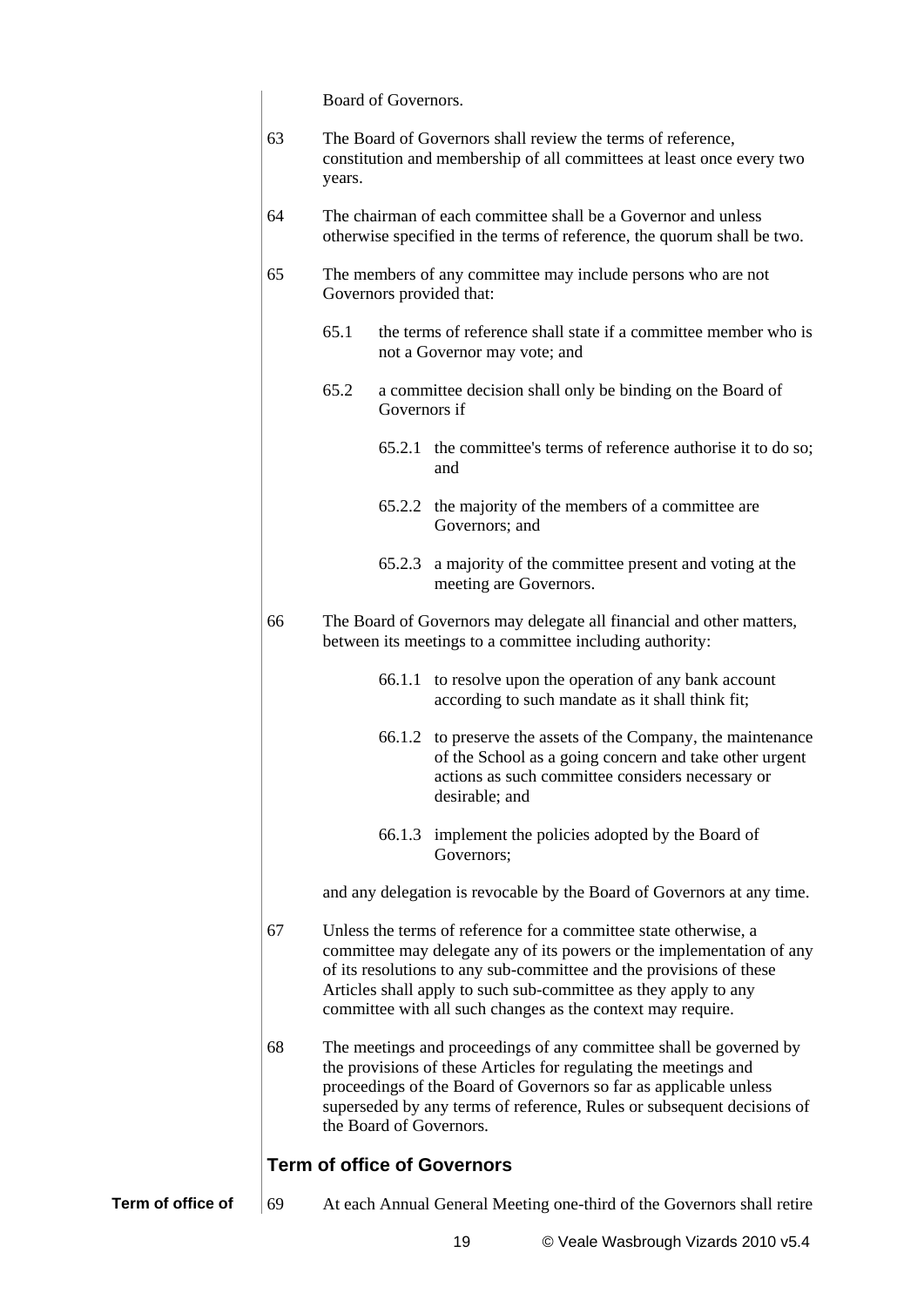Board of Governors.

|                   | 63 | The Board of Governors shall review the terms of reference,<br>constitution and membership of all committees at least once every two<br>years.                                                                                                                                                                                                     |              |                                                                                                                                                                                                                                                                                                                  |  |  |
|-------------------|----|----------------------------------------------------------------------------------------------------------------------------------------------------------------------------------------------------------------------------------------------------------------------------------------------------------------------------------------------------|--------------|------------------------------------------------------------------------------------------------------------------------------------------------------------------------------------------------------------------------------------------------------------------------------------------------------------------|--|--|
|                   | 64 | The chairman of each committee shall be a Governor and unless<br>otherwise specified in the terms of reference, the quorum shall be two.                                                                                                                                                                                                           |              |                                                                                                                                                                                                                                                                                                                  |  |  |
|                   | 65 | The members of any committee may include persons who are not<br>Governors provided that:                                                                                                                                                                                                                                                           |              |                                                                                                                                                                                                                                                                                                                  |  |  |
|                   |    | 65.1                                                                                                                                                                                                                                                                                                                                               |              | the terms of reference shall state if a committee member who is<br>not a Governor may vote; and                                                                                                                                                                                                                  |  |  |
|                   |    | 65.2                                                                                                                                                                                                                                                                                                                                               | Governors if | a committee decision shall only be binding on the Board of                                                                                                                                                                                                                                                       |  |  |
|                   |    |                                                                                                                                                                                                                                                                                                                                                    | 65.2.1       | the committee's terms of reference authorise it to do so;<br>and                                                                                                                                                                                                                                                 |  |  |
|                   |    |                                                                                                                                                                                                                                                                                                                                                    |              | 65.2.2 the majority of the members of a committee are<br>Governors; and                                                                                                                                                                                                                                          |  |  |
|                   |    |                                                                                                                                                                                                                                                                                                                                                    | 65.2.3       | a majority of the committee present and voting at the<br>meeting are Governors.                                                                                                                                                                                                                                  |  |  |
|                   | 66 |                                                                                                                                                                                                                                                                                                                                                    |              | The Board of Governors may delegate all financial and other matters,<br>between its meetings to a committee including authority:                                                                                                                                                                                 |  |  |
|                   |    |                                                                                                                                                                                                                                                                                                                                                    |              | 66.1.1 to resolve upon the operation of any bank account<br>according to such mandate as it shall think fit;                                                                                                                                                                                                     |  |  |
|                   |    |                                                                                                                                                                                                                                                                                                                                                    |              | 66.1.2 to preserve the assets of the Company, the maintenance<br>of the School as a going concern and take other urgent<br>actions as such committee considers necessary or<br>desirable; and                                                                                                                    |  |  |
|                   |    |                                                                                                                                                                                                                                                                                                                                                    |              | 66.1.3 implement the policies adopted by the Board of<br>Governors;                                                                                                                                                                                                                                              |  |  |
|                   |    |                                                                                                                                                                                                                                                                                                                                                    |              | and any delegation is revocable by the Board of Governors at any time.                                                                                                                                                                                                                                           |  |  |
|                   | 67 | Unless the terms of reference for a committee state otherwise, a<br>committee may delegate any of its powers or the implementation of any<br>of its resolutions to any sub-committee and the provisions of these<br>Articles shall apply to such sub-committee as they apply to any<br>committee with all such changes as the context may require. |              |                                                                                                                                                                                                                                                                                                                  |  |  |
|                   | 68 |                                                                                                                                                                                                                                                                                                                                                    |              | The meetings and proceedings of any committee shall be governed by<br>the provisions of these Articles for regulating the meetings and<br>proceedings of the Board of Governors so far as applicable unless<br>superseded by any terms of reference, Rules or subsequent decisions of<br>the Board of Governors. |  |  |
|                   |    |                                                                                                                                                                                                                                                                                                                                                    |              | <b>Term of office of Governors</b>                                                                                                                                                                                                                                                                               |  |  |
| Term of office of | 69 |                                                                                                                                                                                                                                                                                                                                                    |              | At each Annual General Meeting one-third of the Governors shall retire                                                                                                                                                                                                                                           |  |  |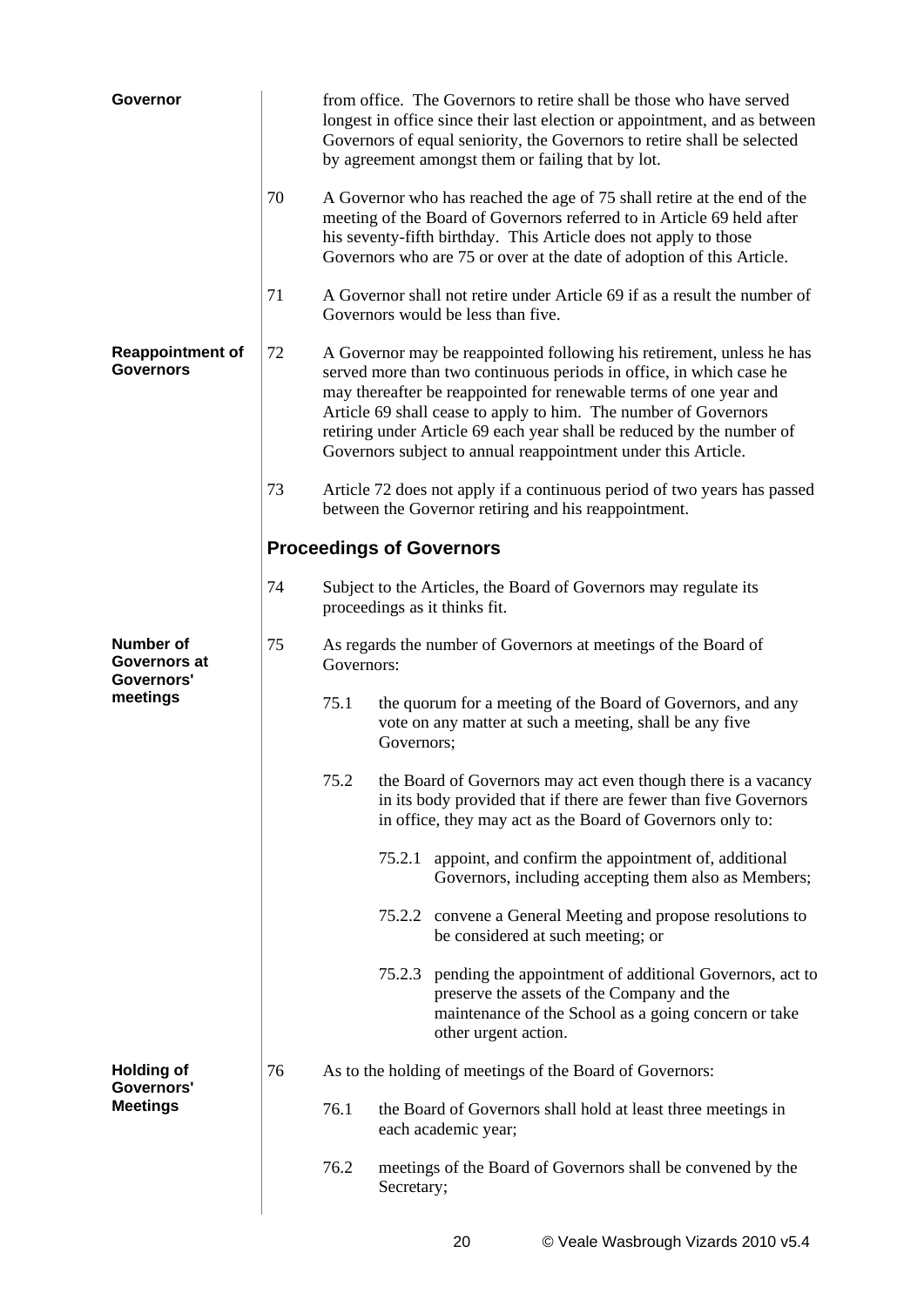| Governor                                    |                                 |                                                                              |                                                                                                                                                                                                                                                                                                                                                                                                                                | from office. The Governors to retire shall be those who have served<br>longest in office since their last election or appointment, and as between<br>Governors of equal seniority, the Governors to retire shall be selected<br>by agreement amongst them or failing that by lot.              |  |  |  |
|---------------------------------------------|---------------------------------|------------------------------------------------------------------------------|--------------------------------------------------------------------------------------------------------------------------------------------------------------------------------------------------------------------------------------------------------------------------------------------------------------------------------------------------------------------------------------------------------------------------------|------------------------------------------------------------------------------------------------------------------------------------------------------------------------------------------------------------------------------------------------------------------------------------------------|--|--|--|
|                                             | 70                              |                                                                              |                                                                                                                                                                                                                                                                                                                                                                                                                                | A Governor who has reached the age of 75 shall retire at the end of the<br>meeting of the Board of Governors referred to in Article 69 held after<br>his seventy-fifth birthday. This Article does not apply to those<br>Governors who are 75 or over at the date of adoption of this Article. |  |  |  |
|                                             | 71                              |                                                                              |                                                                                                                                                                                                                                                                                                                                                                                                                                | A Governor shall not retire under Article 69 if as a result the number of<br>Governors would be less than five.                                                                                                                                                                                |  |  |  |
| <b>Reappointment of</b><br><b>Governors</b> | 72                              |                                                                              | A Governor may be reappointed following his retirement, unless he has<br>served more than two continuous periods in office, in which case he<br>may thereafter be reappointed for renewable terms of one year and<br>Article 69 shall cease to apply to him. The number of Governors<br>retiring under Article 69 each year shall be reduced by the number of<br>Governors subject to annual reappointment under this Article. |                                                                                                                                                                                                                                                                                                |  |  |  |
|                                             | 73                              |                                                                              |                                                                                                                                                                                                                                                                                                                                                                                                                                | Article 72 does not apply if a continuous period of two years has passed<br>between the Governor retiring and his reappointment.                                                                                                                                                               |  |  |  |
|                                             | <b>Proceedings of Governors</b> |                                                                              |                                                                                                                                                                                                                                                                                                                                                                                                                                |                                                                                                                                                                                                                                                                                                |  |  |  |
|                                             | 74                              |                                                                              |                                                                                                                                                                                                                                                                                                                                                                                                                                | Subject to the Articles, the Board of Governors may regulate its<br>proceedings as it thinks fit.                                                                                                                                                                                              |  |  |  |
| Number of<br>Governors at<br>Governors'     | 75                              | As regards the number of Governors at meetings of the Board of<br>Governors: |                                                                                                                                                                                                                                                                                                                                                                                                                                |                                                                                                                                                                                                                                                                                                |  |  |  |
| meetings                                    |                                 | 75.1                                                                         | Governors;                                                                                                                                                                                                                                                                                                                                                                                                                     | the quorum for a meeting of the Board of Governors, and any<br>vote on any matter at such a meeting, shall be any five                                                                                                                                                                         |  |  |  |
|                                             |                                 | 75.2                                                                         |                                                                                                                                                                                                                                                                                                                                                                                                                                | the Board of Governors may act even though there is a vacancy<br>in its body provided that if there are fewer than five Governors<br>in office, they may act as the Board of Governors only to:                                                                                                |  |  |  |
|                                             |                                 |                                                                              |                                                                                                                                                                                                                                                                                                                                                                                                                                | 75.2.1 appoint, and confirm the appointment of, additional<br>Governors, including accepting them also as Members;                                                                                                                                                                             |  |  |  |
|                                             |                                 |                                                                              |                                                                                                                                                                                                                                                                                                                                                                                                                                | 75.2.2 convene a General Meeting and propose resolutions to<br>be considered at such meeting; or                                                                                                                                                                                               |  |  |  |
|                                             |                                 |                                                                              |                                                                                                                                                                                                                                                                                                                                                                                                                                | 75.2.3 pending the appointment of additional Governors, act to<br>preserve the assets of the Company and the<br>maintenance of the School as a going concern or take<br>other urgent action.                                                                                                   |  |  |  |
| <b>Holding of</b><br>Governors'             | 76                              |                                                                              |                                                                                                                                                                                                                                                                                                                                                                                                                                | As to the holding of meetings of the Board of Governors:                                                                                                                                                                                                                                       |  |  |  |
| <b>Meetings</b>                             |                                 | 76.1                                                                         |                                                                                                                                                                                                                                                                                                                                                                                                                                | the Board of Governors shall hold at least three meetings in<br>each academic year;                                                                                                                                                                                                            |  |  |  |
|                                             |                                 | 76.2                                                                         | Secretary;                                                                                                                                                                                                                                                                                                                                                                                                                     | meetings of the Board of Governors shall be convened by the                                                                                                                                                                                                                                    |  |  |  |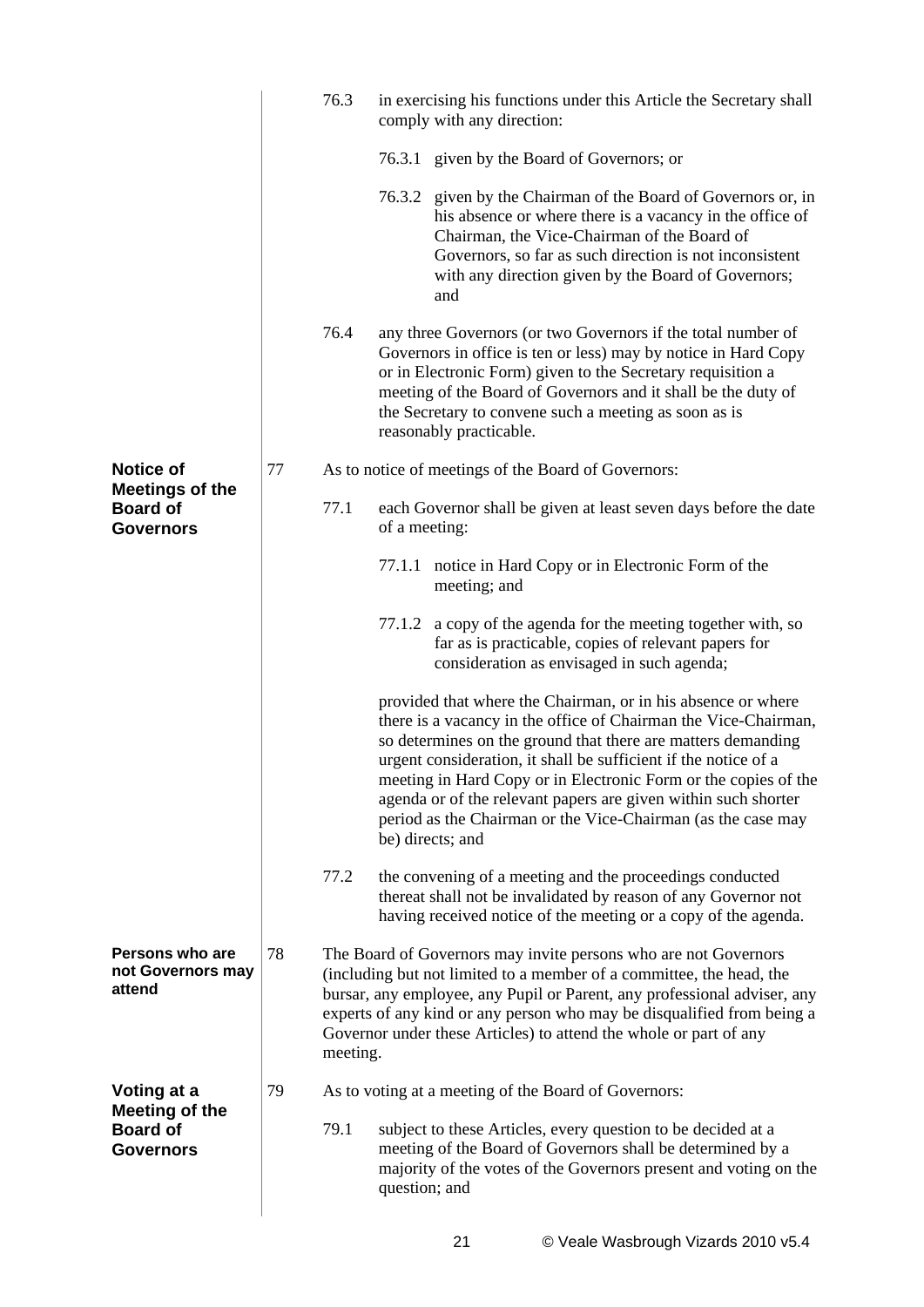|                                                               |    | 76.3     | in exercising his functions under this Article the Secretary shall<br>comply with any direction: |                                                                                                                                                                                                                                                                                                                                                                                                                                                                                             |  |  |
|---------------------------------------------------------------|----|----------|--------------------------------------------------------------------------------------------------|---------------------------------------------------------------------------------------------------------------------------------------------------------------------------------------------------------------------------------------------------------------------------------------------------------------------------------------------------------------------------------------------------------------------------------------------------------------------------------------------|--|--|
|                                                               |    |          |                                                                                                  | 76.3.1 given by the Board of Governors; or                                                                                                                                                                                                                                                                                                                                                                                                                                                  |  |  |
|                                                               |    |          |                                                                                                  | 76.3.2 given by the Chairman of the Board of Governors or, in<br>his absence or where there is a vacancy in the office of<br>Chairman, the Vice-Chairman of the Board of<br>Governors, so far as such direction is not inconsistent<br>with any direction given by the Board of Governors;<br>and                                                                                                                                                                                           |  |  |
|                                                               |    | 76.4     |                                                                                                  | any three Governors (or two Governors if the total number of<br>Governors in office is ten or less) may by notice in Hard Copy<br>or in Electronic Form) given to the Secretary requisition a<br>meeting of the Board of Governors and it shall be the duty of<br>the Secretary to convene such a meeting as soon as is<br>reasonably practicable.                                                                                                                                          |  |  |
| <b>Notice of</b>                                              | 77 |          |                                                                                                  | As to notice of meetings of the Board of Governors:                                                                                                                                                                                                                                                                                                                                                                                                                                         |  |  |
| <b>Meetings of the</b><br><b>Board of</b><br><b>Governors</b> |    | 77.1     | of a meeting:                                                                                    | each Governor shall be given at least seven days before the date                                                                                                                                                                                                                                                                                                                                                                                                                            |  |  |
|                                                               |    |          |                                                                                                  | 77.1.1 notice in Hard Copy or in Electronic Form of the<br>meeting; and                                                                                                                                                                                                                                                                                                                                                                                                                     |  |  |
|                                                               |    |          | 77.1.2                                                                                           | a copy of the agenda for the meeting together with, so<br>far as is practicable, copies of relevant papers for<br>consideration as envisaged in such agenda;                                                                                                                                                                                                                                                                                                                                |  |  |
|                                                               |    |          |                                                                                                  | provided that where the Chairman, or in his absence or where<br>there is a vacancy in the office of Chairman the Vice-Chairman,<br>so determines on the ground that there are matters demanding<br>urgent consideration, it shall be sufficient if the notice of a<br>meeting in Hard Copy or in Electronic Form or the copies of the<br>agenda or of the relevant papers are given within such shorter<br>period as the Chairman or the Vice-Chairman (as the case may<br>be) directs; and |  |  |
|                                                               |    | 77.2     |                                                                                                  | the convening of a meeting and the proceedings conducted<br>thereat shall not be invalidated by reason of any Governor not<br>having received notice of the meeting or a copy of the agenda.                                                                                                                                                                                                                                                                                                |  |  |
| Persons who are<br>not Governors may<br>attend                | 78 | meeting. |                                                                                                  | The Board of Governors may invite persons who are not Governors<br>(including but not limited to a member of a committee, the head, the<br>bursar, any employee, any Pupil or Parent, any professional adviser, any<br>experts of any kind or any person who may be disqualified from being a<br>Governor under these Articles) to attend the whole or part of any                                                                                                                          |  |  |
| Voting at a                                                   | 79 |          |                                                                                                  | As to voting at a meeting of the Board of Governors:                                                                                                                                                                                                                                                                                                                                                                                                                                        |  |  |
| <b>Meeting of the</b><br><b>Board of</b><br><b>Governors</b>  |    | 79.1     | question; and                                                                                    | subject to these Articles, every question to be decided at a<br>meeting of the Board of Governors shall be determined by a<br>majority of the votes of the Governors present and voting on the                                                                                                                                                                                                                                                                                              |  |  |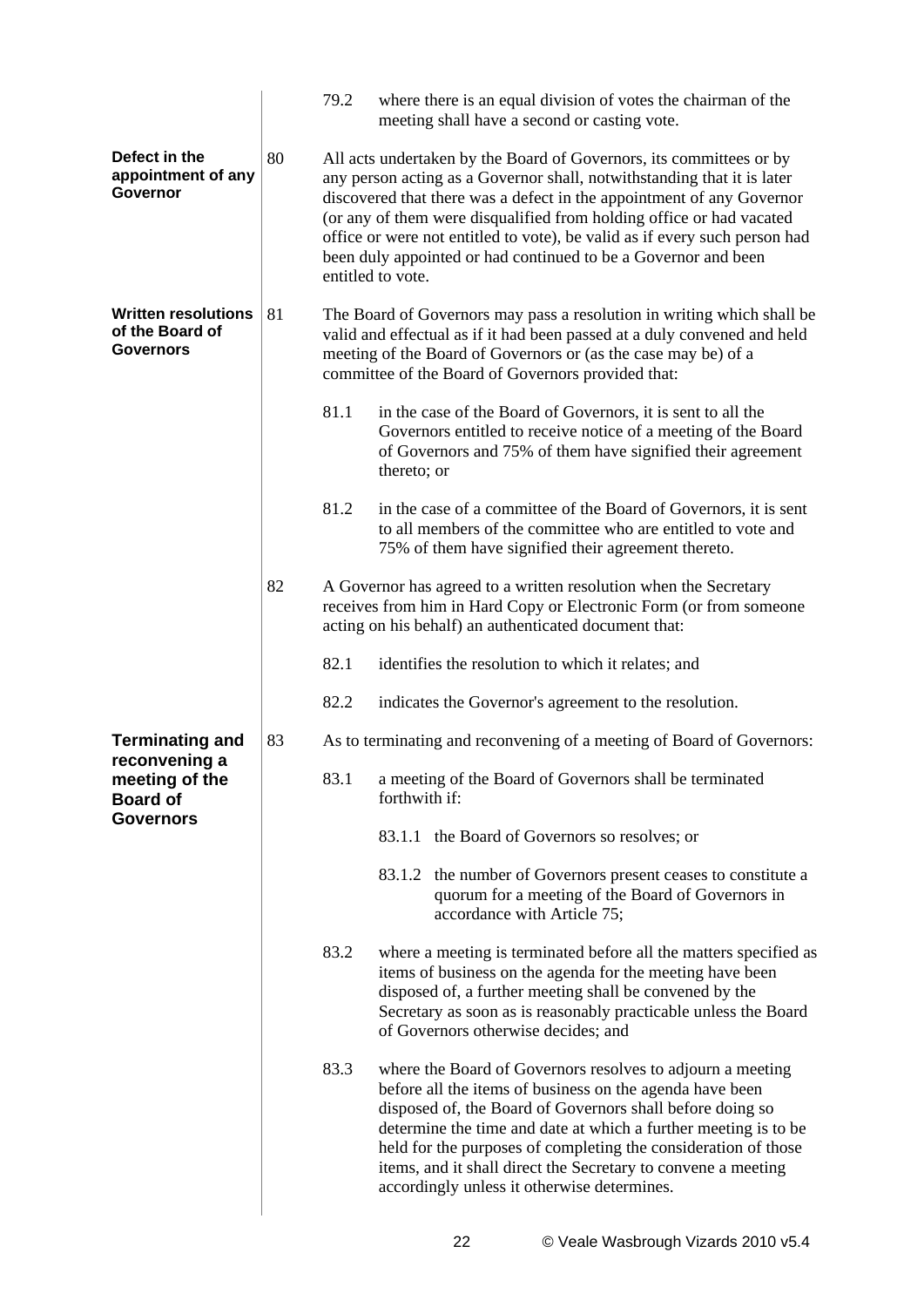|                                                                   |    | 79.2                                                                                                                                                                                                                                                                       | where there is an equal division of votes the chairman of the<br>meeting shall have a second or casting vote.                                                                                                                                                                                                                                                                                                                                                        |  |  |
|-------------------------------------------------------------------|----|----------------------------------------------------------------------------------------------------------------------------------------------------------------------------------------------------------------------------------------------------------------------------|----------------------------------------------------------------------------------------------------------------------------------------------------------------------------------------------------------------------------------------------------------------------------------------------------------------------------------------------------------------------------------------------------------------------------------------------------------------------|--|--|
| Defect in the<br>appointment of any<br>Governor                   | 80 |                                                                                                                                                                                                                                                                            | All acts undertaken by the Board of Governors, its committees or by<br>any person acting as a Governor shall, notwithstanding that it is later<br>discovered that there was a defect in the appointment of any Governor<br>(or any of them were disqualified from holding office or had vacated<br>office or were not entitled to vote), be valid as if every such person had<br>been duly appointed or had continued to be a Governor and been<br>entitled to vote. |  |  |
| <b>Written resolutions</b><br>of the Board of<br><b>Governors</b> | 81 | The Board of Governors may pass a resolution in writing which shall be<br>valid and effectual as if it had been passed at a duly convened and held<br>meeting of the Board of Governors or (as the case may be) of a<br>committee of the Board of Governors provided that: |                                                                                                                                                                                                                                                                                                                                                                                                                                                                      |  |  |
|                                                                   |    | 81.1                                                                                                                                                                                                                                                                       | in the case of the Board of Governors, it is sent to all the<br>Governors entitled to receive notice of a meeting of the Board<br>of Governors and 75% of them have signified their agreement<br>thereto; or                                                                                                                                                                                                                                                         |  |  |
|                                                                   |    | 81.2                                                                                                                                                                                                                                                                       | in the case of a committee of the Board of Governors, it is sent<br>to all members of the committee who are entitled to vote and<br>75% of them have signified their agreement thereto.                                                                                                                                                                                                                                                                              |  |  |
|                                                                   | 82 |                                                                                                                                                                                                                                                                            | A Governor has agreed to a written resolution when the Secretary<br>receives from him in Hard Copy or Electronic Form (or from someone<br>acting on his behalf) an authenticated document that:                                                                                                                                                                                                                                                                      |  |  |
|                                                                   |    | 82.1                                                                                                                                                                                                                                                                       | identifies the resolution to which it relates; and                                                                                                                                                                                                                                                                                                                                                                                                                   |  |  |
|                                                                   |    | 82.2                                                                                                                                                                                                                                                                       | indicates the Governor's agreement to the resolution.                                                                                                                                                                                                                                                                                                                                                                                                                |  |  |
| <b>Terminating and</b><br>reconvening a                           | 83 |                                                                                                                                                                                                                                                                            | As to terminating and reconvening of a meeting of Board of Governors:                                                                                                                                                                                                                                                                                                                                                                                                |  |  |
| meeting of the<br><b>Board of</b><br><b>Governors</b>             |    | 83.1                                                                                                                                                                                                                                                                       | a meeting of the Board of Governors shall be terminated<br>forthwith if:                                                                                                                                                                                                                                                                                                                                                                                             |  |  |
|                                                                   |    |                                                                                                                                                                                                                                                                            | 83.1.1 the Board of Governors so resolves; or                                                                                                                                                                                                                                                                                                                                                                                                                        |  |  |
|                                                                   |    |                                                                                                                                                                                                                                                                            | 83.1.2 the number of Governors present ceases to constitute a<br>quorum for a meeting of the Board of Governors in<br>accordance with Article 75;                                                                                                                                                                                                                                                                                                                    |  |  |
|                                                                   |    | 83.2                                                                                                                                                                                                                                                                       | where a meeting is terminated before all the matters specified as<br>items of business on the agenda for the meeting have been<br>disposed of, a further meeting shall be convened by the<br>Secretary as soon as is reasonably practicable unless the Board<br>of Governors otherwise decides; and                                                                                                                                                                  |  |  |
|                                                                   |    | 83.3                                                                                                                                                                                                                                                                       | where the Board of Governors resolves to adjourn a meeting<br>before all the items of business on the agenda have been<br>disposed of, the Board of Governors shall before doing so<br>determine the time and date at which a further meeting is to be<br>held for the purposes of completing the consideration of those<br>items, and it shall direct the Secretary to convene a meeting<br>accordingly unless it otherwise determines.                             |  |  |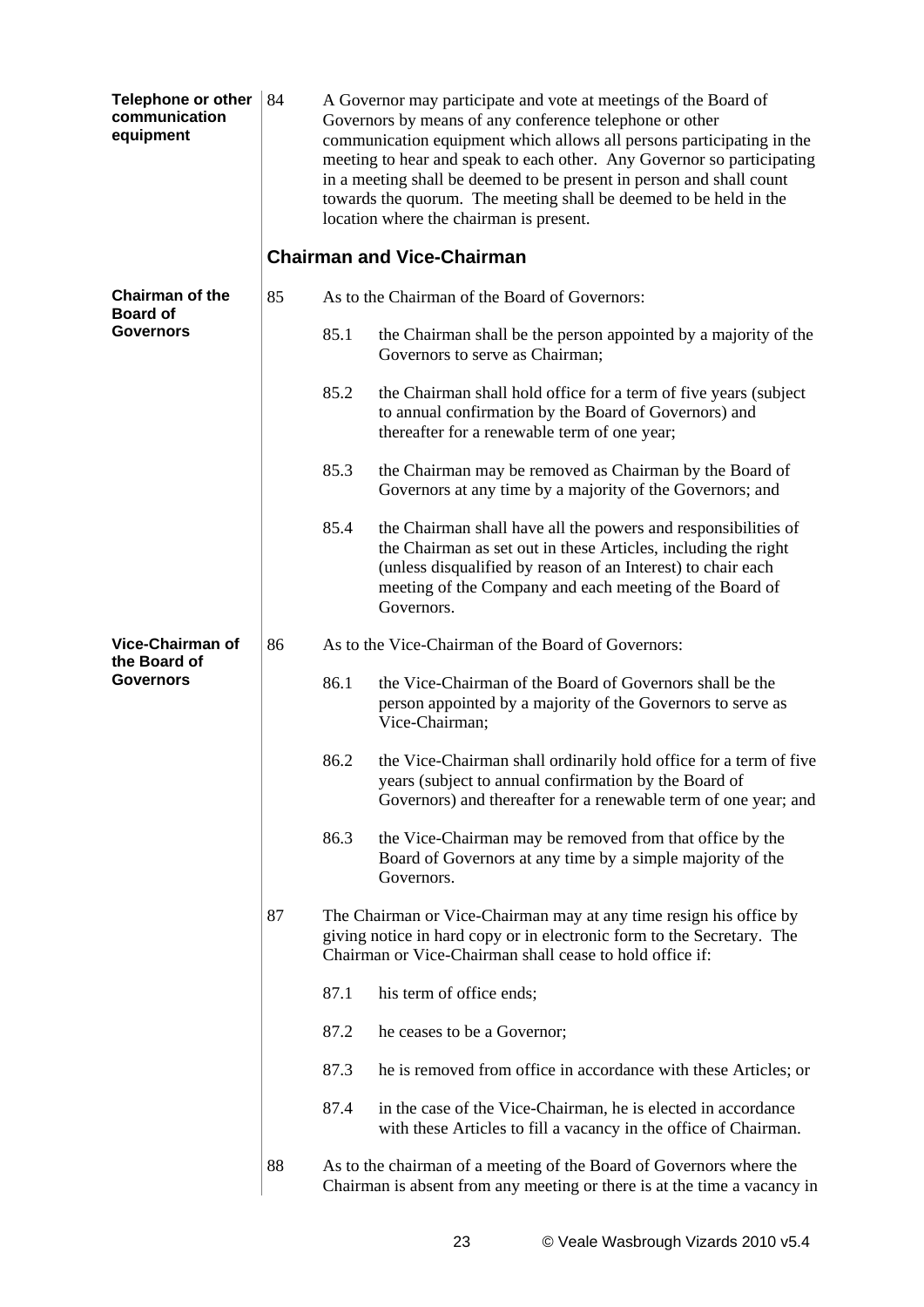| <b>Telephone or other</b><br>communication<br>equipment | 84 | A Governor may participate and vote at meetings of the Board of<br>Governors by means of any conference telephone or other<br>communication equipment which allows all persons participating in the<br>meeting to hear and speak to each other. Any Governor so participating<br>in a meeting shall be deemed to be present in person and shall count<br>towards the quorum. The meeting shall be deemed to be held in the<br>location where the chairman is present.<br><b>Chairman and Vice-Chairman</b> |                                                                                                                                                                                                                                                                           |  |  |
|---------------------------------------------------------|----|------------------------------------------------------------------------------------------------------------------------------------------------------------------------------------------------------------------------------------------------------------------------------------------------------------------------------------------------------------------------------------------------------------------------------------------------------------------------------------------------------------|---------------------------------------------------------------------------------------------------------------------------------------------------------------------------------------------------------------------------------------------------------------------------|--|--|
| <b>Chairman of the</b>                                  | 85 |                                                                                                                                                                                                                                                                                                                                                                                                                                                                                                            | As to the Chairman of the Board of Governors:                                                                                                                                                                                                                             |  |  |
| <b>Board of</b><br><b>Governors</b>                     |    | 85.1                                                                                                                                                                                                                                                                                                                                                                                                                                                                                                       | the Chairman shall be the person appointed by a majority of the<br>Governors to serve as Chairman;                                                                                                                                                                        |  |  |
|                                                         |    | 85.2                                                                                                                                                                                                                                                                                                                                                                                                                                                                                                       | the Chairman shall hold office for a term of five years (subject<br>to annual confirmation by the Board of Governors) and<br>thereafter for a renewable term of one year;                                                                                                 |  |  |
|                                                         |    | 85.3                                                                                                                                                                                                                                                                                                                                                                                                                                                                                                       | the Chairman may be removed as Chairman by the Board of<br>Governors at any time by a majority of the Governors; and                                                                                                                                                      |  |  |
|                                                         |    | 85.4                                                                                                                                                                                                                                                                                                                                                                                                                                                                                                       | the Chairman shall have all the powers and responsibilities of<br>the Chairman as set out in these Articles, including the right<br>(unless disqualified by reason of an Interest) to chair each<br>meeting of the Company and each meeting of the Board of<br>Governors. |  |  |
| Vice-Chairman of                                        | 86 | As to the Vice-Chairman of the Board of Governors:                                                                                                                                                                                                                                                                                                                                                                                                                                                         |                                                                                                                                                                                                                                                                           |  |  |
| the Board of<br><b>Governors</b>                        |    | 86.1                                                                                                                                                                                                                                                                                                                                                                                                                                                                                                       | the Vice-Chairman of the Board of Governors shall be the<br>person appointed by a majority of the Governors to serve as<br>Vice-Chairman;                                                                                                                                 |  |  |
|                                                         |    | 86.2                                                                                                                                                                                                                                                                                                                                                                                                                                                                                                       | the Vice-Chairman shall ordinarily hold office for a term of five<br>years (subject to annual confirmation by the Board of<br>Governors) and thereafter for a renewable term of one year; and                                                                             |  |  |
|                                                         |    | 86.3                                                                                                                                                                                                                                                                                                                                                                                                                                                                                                       | the Vice-Chairman may be removed from that office by the<br>Board of Governors at any time by a simple majority of the<br>Governors.                                                                                                                                      |  |  |
|                                                         | 87 |                                                                                                                                                                                                                                                                                                                                                                                                                                                                                                            | The Chairman or Vice-Chairman may at any time resign his office by<br>giving notice in hard copy or in electronic form to the Secretary. The<br>Chairman or Vice-Chairman shall cease to hold office if:                                                                  |  |  |
|                                                         |    | 87.1                                                                                                                                                                                                                                                                                                                                                                                                                                                                                                       | his term of office ends;                                                                                                                                                                                                                                                  |  |  |
|                                                         |    | 87.2                                                                                                                                                                                                                                                                                                                                                                                                                                                                                                       | he ceases to be a Governor;                                                                                                                                                                                                                                               |  |  |
|                                                         |    | 87.3                                                                                                                                                                                                                                                                                                                                                                                                                                                                                                       | he is removed from office in accordance with these Articles; or                                                                                                                                                                                                           |  |  |
|                                                         |    | 87.4                                                                                                                                                                                                                                                                                                                                                                                                                                                                                                       | in the case of the Vice-Chairman, he is elected in accordance<br>with these Articles to fill a vacancy in the office of Chairman.                                                                                                                                         |  |  |
|                                                         | 88 |                                                                                                                                                                                                                                                                                                                                                                                                                                                                                                            | As to the chairman of a meeting of the Board of Governors where the<br>Chairman is absent from any meeting or there is at the time a vacancy in                                                                                                                           |  |  |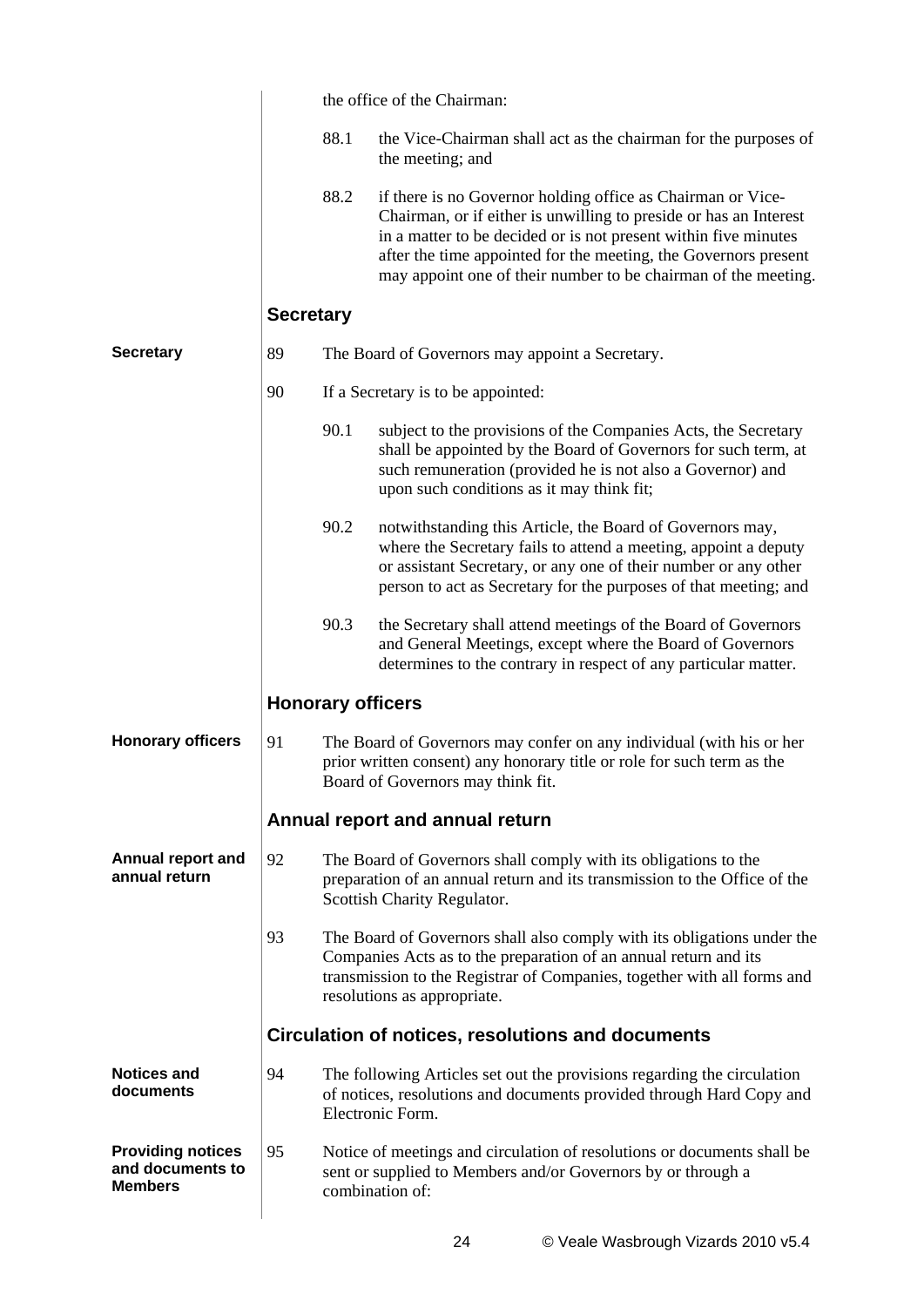|                                                                |                  | the office of the Chairman: |                                                                                                                                                                                                                                                                                                                                          |  |  |
|----------------------------------------------------------------|------------------|-----------------------------|------------------------------------------------------------------------------------------------------------------------------------------------------------------------------------------------------------------------------------------------------------------------------------------------------------------------------------------|--|--|
|                                                                |                  | 88.1                        | the Vice-Chairman shall act as the chairman for the purposes of<br>the meeting; and                                                                                                                                                                                                                                                      |  |  |
|                                                                |                  | 88.2                        | if there is no Governor holding office as Chairman or Vice-<br>Chairman, or if either is unwilling to preside or has an Interest<br>in a matter to be decided or is not present within five minutes<br>after the time appointed for the meeting, the Governors present<br>may appoint one of their number to be chairman of the meeting. |  |  |
|                                                                | <b>Secretary</b> |                             |                                                                                                                                                                                                                                                                                                                                          |  |  |
| <b>Secretary</b>                                               | 89               |                             | The Board of Governors may appoint a Secretary.                                                                                                                                                                                                                                                                                          |  |  |
|                                                                | 90               |                             | If a Secretary is to be appointed:                                                                                                                                                                                                                                                                                                       |  |  |
|                                                                |                  | 90.1                        | subject to the provisions of the Companies Acts, the Secretary<br>shall be appointed by the Board of Governors for such term, at<br>such remuneration (provided he is not also a Governor) and<br>upon such conditions as it may think fit;                                                                                              |  |  |
|                                                                |                  | 90.2                        | notwithstanding this Article, the Board of Governors may,<br>where the Secretary fails to attend a meeting, appoint a deputy<br>or assistant Secretary, or any one of their number or any other<br>person to act as Secretary for the purposes of that meeting; and                                                                      |  |  |
|                                                                |                  | 90.3                        | the Secretary shall attend meetings of the Board of Governors<br>and General Meetings, except where the Board of Governors<br>determines to the contrary in respect of any particular matter.                                                                                                                                            |  |  |
|                                                                |                  | <b>Honorary officers</b>    |                                                                                                                                                                                                                                                                                                                                          |  |  |
| <b>Honorary officers</b>                                       | 91               |                             | The Board of Governors may confer on any individual (with his or her<br>prior written consent) any honorary title or role for such term as the<br>Board of Governors may think fit.                                                                                                                                                      |  |  |
|                                                                |                  |                             | Annual report and annual return                                                                                                                                                                                                                                                                                                          |  |  |
| <b>Annual report and</b><br>annual return                      | 92               |                             | The Board of Governors shall comply with its obligations to the<br>preparation of an annual return and its transmission to the Office of the<br>Scottish Charity Regulator.                                                                                                                                                              |  |  |
|                                                                | 93               |                             | The Board of Governors shall also comply with its obligations under the<br>Companies Acts as to the preparation of an annual return and its<br>transmission to the Registrar of Companies, together with all forms and<br>resolutions as appropriate.                                                                                    |  |  |
|                                                                |                  |                             | Circulation of notices, resolutions and documents                                                                                                                                                                                                                                                                                        |  |  |
| <b>Notices and</b><br>documents                                | 94               |                             | The following Articles set out the provisions regarding the circulation<br>of notices, resolutions and documents provided through Hard Copy and<br>Electronic Form.                                                                                                                                                                      |  |  |
| <b>Providing notices</b><br>and documents to<br><b>Members</b> | 95               |                             | Notice of meetings and circulation of resolutions or documents shall be<br>sent or supplied to Members and/or Governors by or through a<br>combination of:                                                                                                                                                                               |  |  |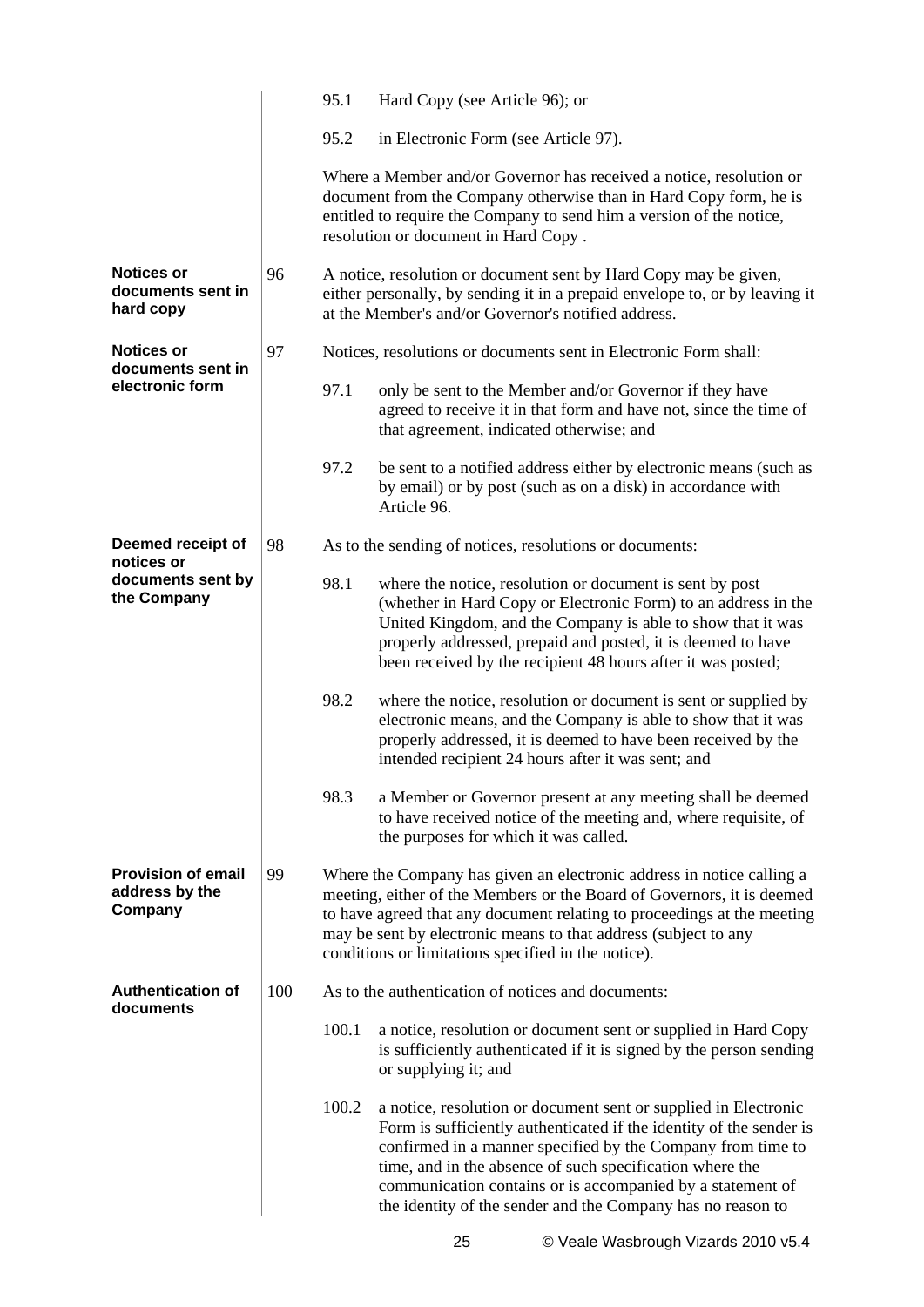|                                                        |     | 95.1  | Hard Copy (see Article 96); or                                                                                                                                                                                                                                                                                                                                                                 |  |  |  |  |
|--------------------------------------------------------|-----|-------|------------------------------------------------------------------------------------------------------------------------------------------------------------------------------------------------------------------------------------------------------------------------------------------------------------------------------------------------------------------------------------------------|--|--|--|--|
|                                                        |     | 95.2  | in Electronic Form (see Article 97).                                                                                                                                                                                                                                                                                                                                                           |  |  |  |  |
|                                                        |     |       | Where a Member and/or Governor has received a notice, resolution or<br>document from the Company otherwise than in Hard Copy form, he is<br>entitled to require the Company to send him a version of the notice,<br>resolution or document in Hard Copy.                                                                                                                                       |  |  |  |  |
| <b>Notices or</b><br>documents sent in<br>hard copy    | 96  |       | A notice, resolution or document sent by Hard Copy may be given,<br>either personally, by sending it in a prepaid envelope to, or by leaving it<br>at the Member's and/or Governor's notified address.                                                                                                                                                                                         |  |  |  |  |
| <b>Notices or</b><br>documents sent in                 | 97  |       | Notices, resolutions or documents sent in Electronic Form shall:                                                                                                                                                                                                                                                                                                                               |  |  |  |  |
| electronic form                                        |     | 97.1  | only be sent to the Member and/or Governor if they have<br>agreed to receive it in that form and have not, since the time of<br>that agreement, indicated otherwise; and                                                                                                                                                                                                                       |  |  |  |  |
|                                                        |     | 97.2  | be sent to a notified address either by electronic means (such as<br>by email) or by post (such as on a disk) in accordance with<br>Article 96.                                                                                                                                                                                                                                                |  |  |  |  |
| Deemed receipt of<br>notices or                        | 98  |       | As to the sending of notices, resolutions or documents:                                                                                                                                                                                                                                                                                                                                        |  |  |  |  |
| documents sent by<br>the Company                       |     | 98.1  | where the notice, resolution or document is sent by post<br>(whether in Hard Copy or Electronic Form) to an address in the<br>United Kingdom, and the Company is able to show that it was<br>properly addressed, prepaid and posted, it is deemed to have<br>been received by the recipient 48 hours after it was posted;                                                                      |  |  |  |  |
|                                                        |     | 98.2  | where the notice, resolution or document is sent or supplied by<br>electronic means, and the Company is able to show that it was<br>properly addressed, it is deemed to have been received by the<br>intended recipient 24 hours after it was sent; and                                                                                                                                        |  |  |  |  |
|                                                        |     | 98.3  | a Member or Governor present at any meeting shall be deemed<br>to have received notice of the meeting and, where requisite, of<br>the purposes for which it was called.                                                                                                                                                                                                                        |  |  |  |  |
| <b>Provision of email</b><br>address by the<br>Company | 99  |       | Where the Company has given an electronic address in notice calling a<br>meeting, either of the Members or the Board of Governors, it is deemed<br>to have agreed that any document relating to proceedings at the meeting<br>may be sent by electronic means to that address (subject to any<br>conditions or limitations specified in the notice).                                           |  |  |  |  |
| <b>Authentication of</b><br>documents                  | 100 |       | As to the authentication of notices and documents:                                                                                                                                                                                                                                                                                                                                             |  |  |  |  |
|                                                        |     | 100.1 | a notice, resolution or document sent or supplied in Hard Copy<br>is sufficiently authenticated if it is signed by the person sending<br>or supplying it; and                                                                                                                                                                                                                                  |  |  |  |  |
|                                                        |     | 100.2 | a notice, resolution or document sent or supplied in Electronic<br>Form is sufficiently authenticated if the identity of the sender is<br>confirmed in a manner specified by the Company from time to<br>time, and in the absence of such specification where the<br>communication contains or is accompanied by a statement of<br>the identity of the sender and the Company has no reason to |  |  |  |  |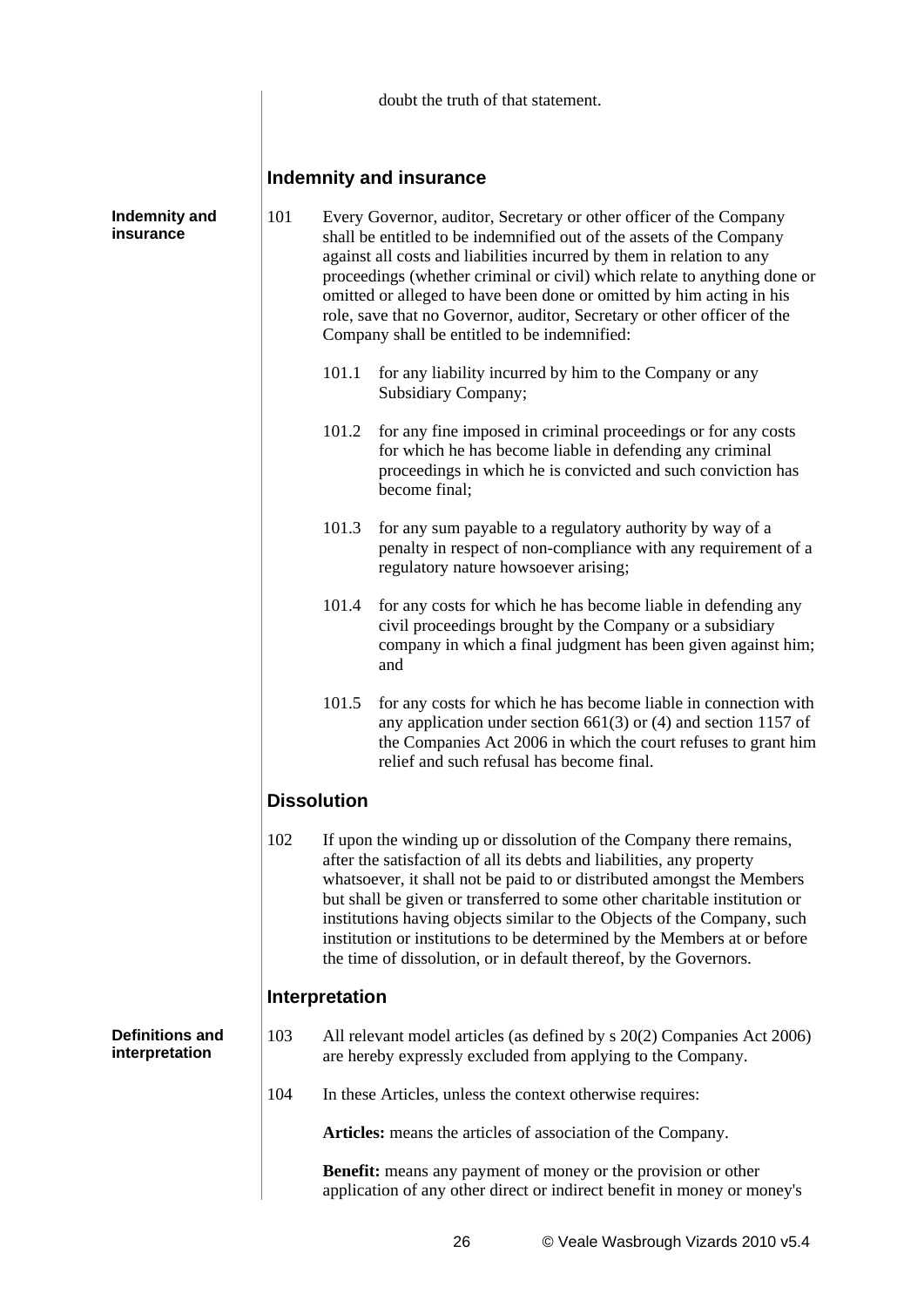|                                          |                    | doubt the truth of that statement.                                                                                                                                                                                                                                                                                                                                                                                                                                                                 |                                                                                                                                                                                                                                                                                                                                                                                                                                                                                                                                 |  |  |  |  |
|------------------------------------------|--------------------|----------------------------------------------------------------------------------------------------------------------------------------------------------------------------------------------------------------------------------------------------------------------------------------------------------------------------------------------------------------------------------------------------------------------------------------------------------------------------------------------------|---------------------------------------------------------------------------------------------------------------------------------------------------------------------------------------------------------------------------------------------------------------------------------------------------------------------------------------------------------------------------------------------------------------------------------------------------------------------------------------------------------------------------------|--|--|--|--|
|                                          |                    | Indemnity and insurance                                                                                                                                                                                                                                                                                                                                                                                                                                                                            |                                                                                                                                                                                                                                                                                                                                                                                                                                                                                                                                 |  |  |  |  |
| <b>Indemnity and</b><br>insurance        | 101                | Every Governor, auditor, Secretary or other officer of the Company<br>shall be entitled to be indemnified out of the assets of the Company<br>against all costs and liabilities incurred by them in relation to any<br>proceedings (whether criminal or civil) which relate to anything done or<br>omitted or alleged to have been done or omitted by him acting in his<br>role, save that no Governor, auditor, Secretary or other officer of the<br>Company shall be entitled to be indemnified: |                                                                                                                                                                                                                                                                                                                                                                                                                                                                                                                                 |  |  |  |  |
|                                          |                    | 101.1                                                                                                                                                                                                                                                                                                                                                                                                                                                                                              | for any liability incurred by him to the Company or any<br>Subsidiary Company;                                                                                                                                                                                                                                                                                                                                                                                                                                                  |  |  |  |  |
|                                          |                    | 101.2                                                                                                                                                                                                                                                                                                                                                                                                                                                                                              | for any fine imposed in criminal proceedings or for any costs<br>for which he has become liable in defending any criminal<br>proceedings in which he is convicted and such conviction has<br>become final;                                                                                                                                                                                                                                                                                                                      |  |  |  |  |
|                                          |                    | 101.3                                                                                                                                                                                                                                                                                                                                                                                                                                                                                              | for any sum payable to a regulatory authority by way of a<br>penalty in respect of non-compliance with any requirement of a<br>regulatory nature howsoever arising;                                                                                                                                                                                                                                                                                                                                                             |  |  |  |  |
|                                          |                    | 101.4                                                                                                                                                                                                                                                                                                                                                                                                                                                                                              | for any costs for which he has become liable in defending any<br>civil proceedings brought by the Company or a subsidiary<br>company in which a final judgment has been given against him;<br>and                                                                                                                                                                                                                                                                                                                               |  |  |  |  |
|                                          |                    | 101.5                                                                                                                                                                                                                                                                                                                                                                                                                                                                                              | for any costs for which he has become liable in connection with<br>any application under section $661(3)$ or (4) and section 1157 of<br>the Companies Act 2006 in which the court refuses to grant him<br>relief and such refusal has become final.                                                                                                                                                                                                                                                                             |  |  |  |  |
|                                          | <b>Dissolution</b> |                                                                                                                                                                                                                                                                                                                                                                                                                                                                                                    |                                                                                                                                                                                                                                                                                                                                                                                                                                                                                                                                 |  |  |  |  |
|                                          | 102                |                                                                                                                                                                                                                                                                                                                                                                                                                                                                                                    | If upon the winding up or dissolution of the Company there remains,<br>after the satisfaction of all its debts and liabilities, any property<br>whatsoever, it shall not be paid to or distributed amongst the Members<br>but shall be given or transferred to some other charitable institution or<br>institutions having objects similar to the Objects of the Company, such<br>institution or institutions to be determined by the Members at or before<br>the time of dissolution, or in default thereof, by the Governors. |  |  |  |  |
|                                          |                    | <b>Interpretation</b>                                                                                                                                                                                                                                                                                                                                                                                                                                                                              |                                                                                                                                                                                                                                                                                                                                                                                                                                                                                                                                 |  |  |  |  |
| <b>Definitions and</b><br>interpretation | 103                |                                                                                                                                                                                                                                                                                                                                                                                                                                                                                                    | All relevant model articles (as defined by s 20(2) Companies Act 2006)<br>are hereby expressly excluded from applying to the Company.                                                                                                                                                                                                                                                                                                                                                                                           |  |  |  |  |
|                                          | 104                |                                                                                                                                                                                                                                                                                                                                                                                                                                                                                                    | In these Articles, unless the context otherwise requires:                                                                                                                                                                                                                                                                                                                                                                                                                                                                       |  |  |  |  |
|                                          |                    |                                                                                                                                                                                                                                                                                                                                                                                                                                                                                                    | Articles: means the articles of association of the Company.                                                                                                                                                                                                                                                                                                                                                                                                                                                                     |  |  |  |  |
|                                          |                    |                                                                                                                                                                                                                                                                                                                                                                                                                                                                                                    | <b>Benefit:</b> means any payment of money or the provision or other<br>application of any other direct or indirect benefit in money or money's                                                                                                                                                                                                                                                                                                                                                                                 |  |  |  |  |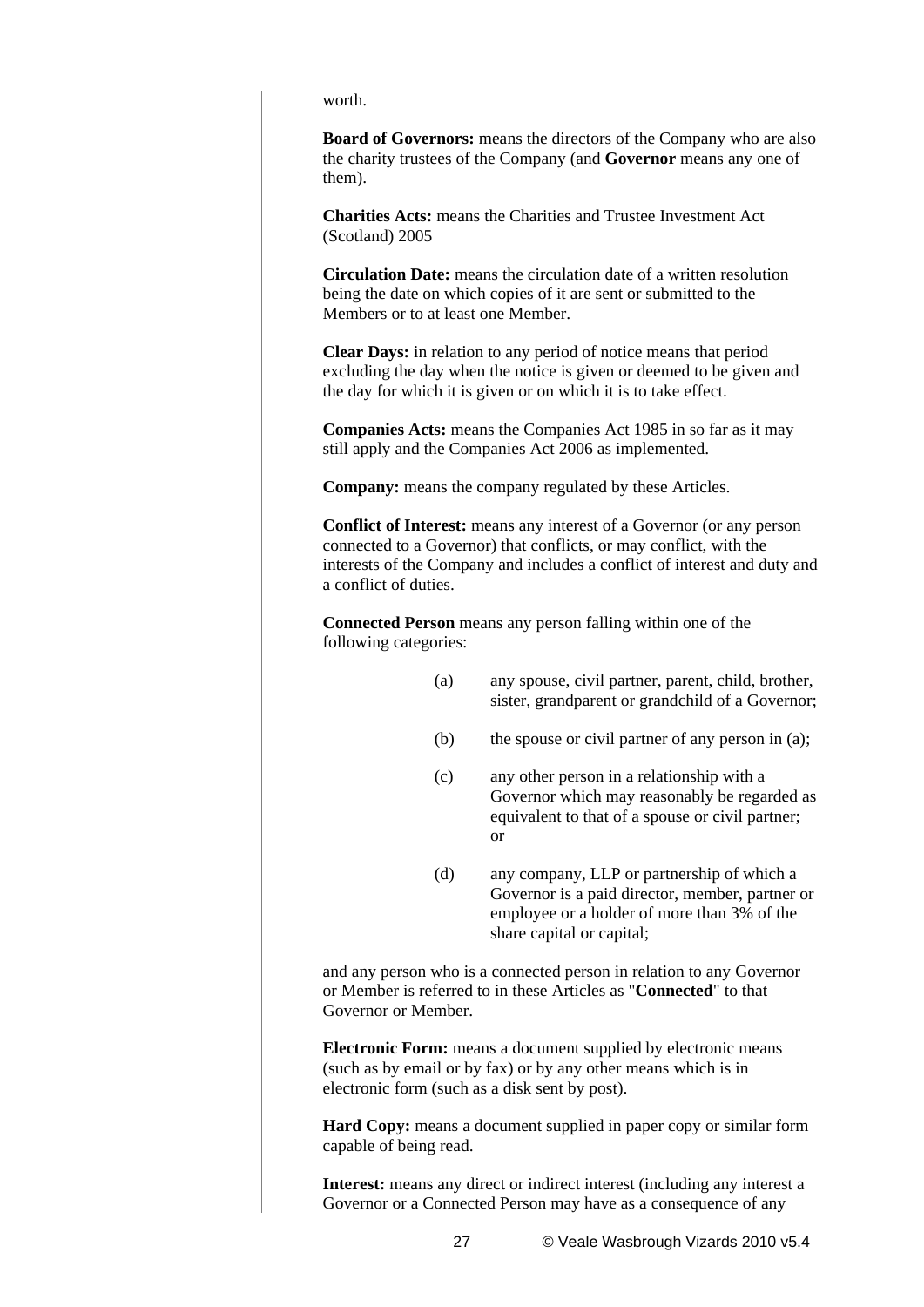worth.

**Board of Governors:** means the directors of the Company who are also the charity trustees of the Company (and **Governor** means any one of them).

**Charities Acts:** means the Charities and Trustee Investment Act (Scotland) 2005

**Circulation Date:** means the circulation date of a written resolution being the date on which copies of it are sent or submitted to the Members or to at least one Member.

**Clear Days:** in relation to any period of notice means that period excluding the day when the notice is given or deemed to be given and the day for which it is given or on which it is to take effect.

**Companies Acts:** means the Companies Act 1985 in so far as it may still apply and the Companies Act 2006 as implemented.

**Company:** means the company regulated by these Articles.

**Conflict of Interest:** means any interest of a Governor (or any person connected to a Governor) that conflicts, or may conflict, with the interests of the Company and includes a conflict of interest and duty and a conflict of duties.

**Connected Person** means any person falling within one of the following categories:

- (a) any spouse, civil partner, parent, child, brother, sister, grandparent or grandchild of a Governor;
- (b) the spouse or civil partner of any person in (a);
- (c) any other person in a relationship with a Governor which may reasonably be regarded as equivalent to that of a spouse or civil partner; or
- (d) any company, LLP or partnership of which a Governor is a paid director, member, partner or employee or a holder of more than 3% of the share capital or capital;

and any person who is a connected person in relation to any Governor or Member is referred to in these Articles as "**Connected**" to that Governor or Member.

**Electronic Form:** means a document supplied by electronic means (such as by email or by fax) or by any other means which is in electronic form (such as a disk sent by post).

**Hard Copy:** means a document supplied in paper copy or similar form capable of being read.

**Interest:** means any direct or indirect interest (including any interest a Governor or a Connected Person may have as a consequence of any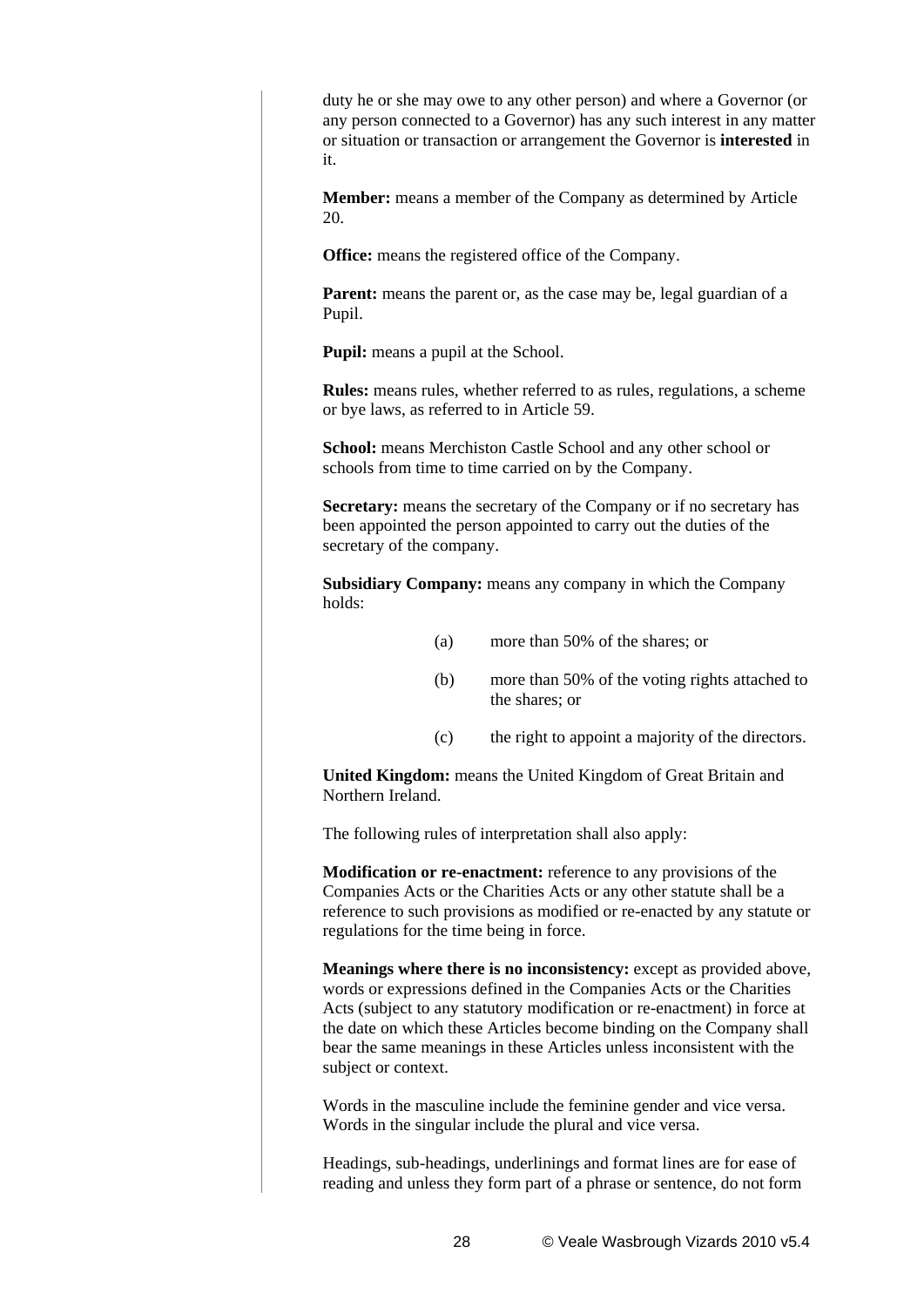duty he or she may owe to any other person) and where a Governor (or any person connected to a Governor) has any such interest in any matter or situation or transaction or arrangement the Governor is **interested** in it.

**Member:** means a member of the Company as determined by Article 20.

**Office:** means the registered office of the Company.

**Parent:** means the parent or, as the case may be, legal guardian of a Pupil.

**Pupil:** means a pupil at the School.

**Rules:** means rules, whether referred to as rules, regulations, a scheme or bye laws, as referred to in Article 59.

**School:** means Merchiston Castle School and any other school or schools from time to time carried on by the Company.

**Secretary:** means the secretary of the Company or if no secretary has been appointed the person appointed to carry out the duties of the secretary of the company.

**Subsidiary Company:** means any company in which the Company holds:

- (a) more than 50% of the shares; or
- (b) more than 50% of the voting rights attached to the shares; or
- (c) the right to appoint a majority of the directors.

**United Kingdom:** means the United Kingdom of Great Britain and Northern Ireland.

The following rules of interpretation shall also apply:

**Modification or re-enactment:** reference to any provisions of the Companies Acts or the Charities Acts or any other statute shall be a reference to such provisions as modified or re-enacted by any statute or regulations for the time being in force.

**Meanings where there is no inconsistency:** except as provided above, words or expressions defined in the Companies Acts or the Charities Acts (subject to any statutory modification or re-enactment) in force at the date on which these Articles become binding on the Company shall bear the same meanings in these Articles unless inconsistent with the subject or context.

Words in the masculine include the feminine gender and vice versa. Words in the singular include the plural and vice versa.

Headings, sub-headings, underlinings and format lines are for ease of reading and unless they form part of a phrase or sentence, do not form